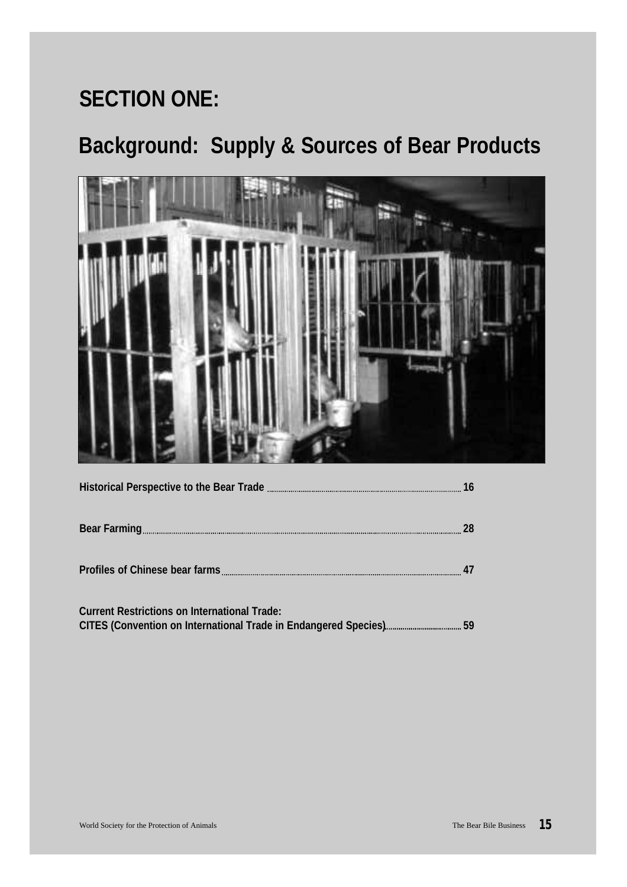# **SECTION ONE:**

# **Background: Supply & Sources of Bear Products**



|                                                     | 28 |
|-----------------------------------------------------|----|
|                                                     |    |
| <b>Current Restrictions on International Trade:</b> |    |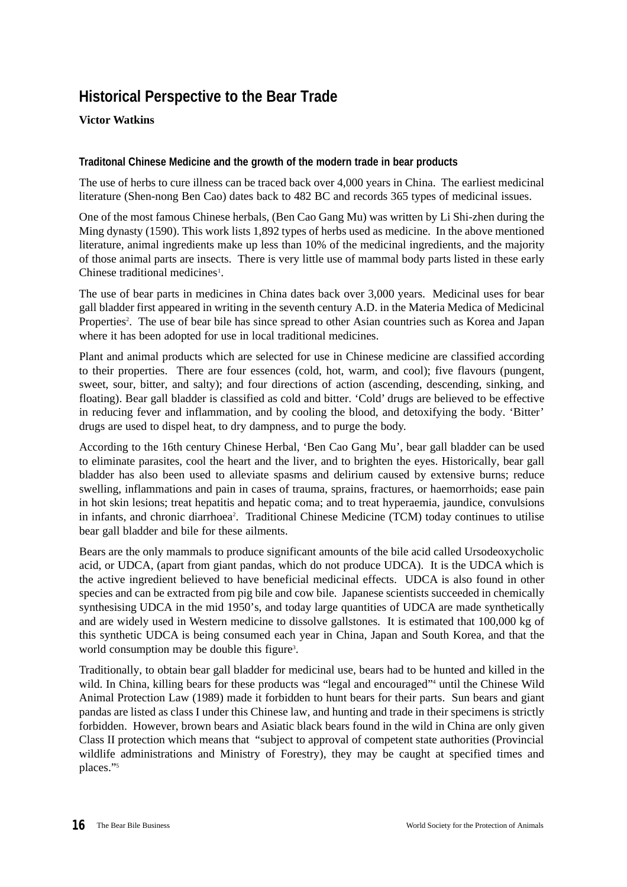# **Historical Perspective to the Bear Trade**

# **Victor Watkins**

# **Traditonal Chinese Medicine and the growth of the modern trade in bear products**

The use of herbs to cure illness can be traced back over 4,000 years in China. The earliest medicinal literature (Shen-nong Ben Cao) dates back to 482 BC and records 365 types of medicinal issues.

One of the most famous Chinese herbals, (Ben Cao Gang Mu) was written by Li Shi-zhen during the Ming dynasty (1590). This work lists 1,892 types of herbs used as medicine. In the above mentioned literature, animal ingredients make up less than 10% of the medicinal ingredients, and the majority of those animal parts are insects. There is very little use of mammal body parts listed in these early Chinese traditional medicines<sup>1</sup>.

The use of bear parts in medicines in China dates back over 3,000 years. Medicinal uses for bear gall bladder first appeared in writing in the seventh century A.D. in the Materia Medica of Medicinal Properties<sup>2</sup>. The use of bear bile has since spread to other Asian countries such as Korea and Japan where it has been adopted for use in local traditional medicines.

Plant and animal products which are selected for use in Chinese medicine are classified according to their properties. There are four essences (cold, hot, warm, and cool); five flavours (pungent, sweet, sour, bitter, and salty); and four directions of action (ascending, descending, sinking, and floating). Bear gall bladder is classified as cold and bitter. 'Cold' drugs are believed to be effective in reducing fever and inflammation, and by cooling the blood, and detoxifying the body. 'Bitter' drugs are used to dispel heat, to dry dampness, and to purge the body.

According to the 16th century Chinese Herbal, 'Ben Cao Gang Mu', bear gall bladder can be used to eliminate parasites, cool the heart and the liver, and to brighten the eyes. Historically, bear gall bladder has also been used to alleviate spasms and delirium caused by extensive burns; reduce swelling, inflammations and pain in cases of trauma, sprains, fractures, or haemorrhoids; ease pain in hot skin lesions; treat hepatitis and hepatic coma; and to treat hyperaemia, jaundice, convulsions in infants, and chronic diarrhoea<sup>2</sup>. Traditional Chinese Medicine (TCM) today continues to utilise bear gall bladder and bile for these ailments.

Bears are the only mammals to produce significant amounts of the bile acid called Ursodeoxycholic acid, or UDCA, (apart from giant pandas, which do not produce UDCA). It is the UDCA which is the active ingredient believed to have beneficial medicinal effects. UDCA is also found in other species and can be extracted from pig bile and cow bile. Japanese scientists succeeded in chemically synthesising UDCA in the mid 1950's, and today large quantities of UDCA are made synthetically and are widely used in Western medicine to dissolve gallstones. It is estimated that 100,000 kg of this synthetic UDCA is being consumed each year in China, Japan and South Korea, and that the world consumption may be double this figure<sup>3</sup>.

Traditionally, to obtain bear gall bladder for medicinal use, bears had to be hunted and killed in the wild. In China, killing bears for these products was "legal and encouraged"<sup>4</sup> until the Chinese Wild Animal Protection Law (1989) made it forbidden to hunt bears for their parts. Sun bears and giant pandas are listed as class I under this Chinese law, and hunting and trade in their specimens is strictly forbidden. However, brown bears and Asiatic black bears found in the wild in China are only given Class II protection which means that "subject to approval of competent state authorities (Provincial wildlife administrations and Ministry of Forestry), they may be caught at specified times and places."<sup>5</sup>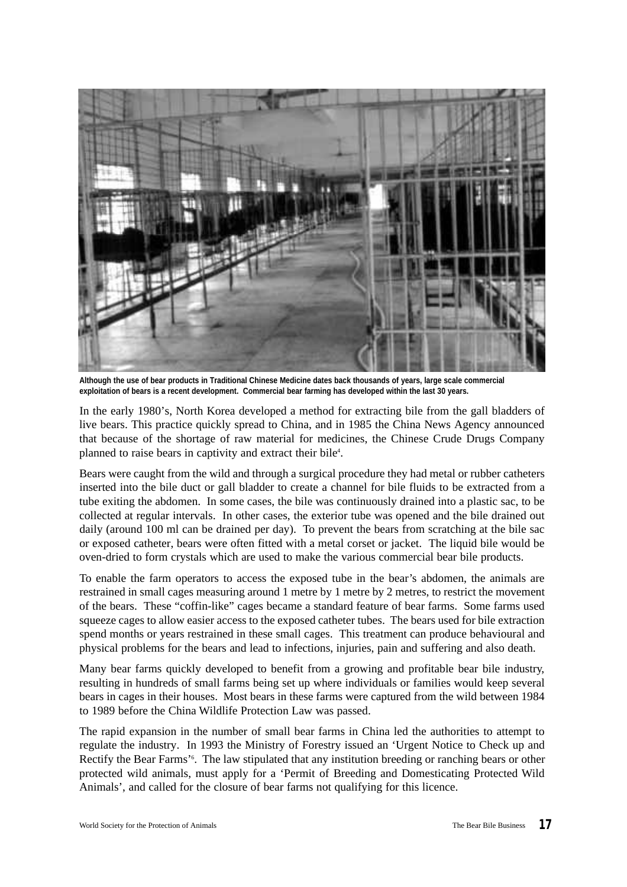

**Although the use of bear products in Traditional Chinese Medicine dates back thousands of years, large scale commercial exploitation of bears is a recent development. Commercial bear farming has developed within the last 30 years.**

In the early 1980's, North Korea developed a method for extracting bile from the gall bladders of live bears. This practice quickly spread to China, and in 1985 the China News Agency announced that because of the shortage of raw material for medicines, the Chinese Crude Drugs Company planned to raise bears in captivity and extract their bile<sup>4</sup>.

Bears were caught from the wild and through a surgical procedure they had metal or rubber catheters inserted into the bile duct or gall bladder to create a channel for bile fluids to be extracted from a tube exiting the abdomen. In some cases, the bile was continuously drained into a plastic sac, to be collected at regular intervals. In other cases, the exterior tube was opened and the bile drained out daily (around 100 ml can be drained per day). To prevent the bears from scratching at the bile sac or exposed catheter, bears were often fitted with a metal corset or jacket. The liquid bile would be oven-dried to form crystals which are used to make the various commercial bear bile products.

To enable the farm operators to access the exposed tube in the bear's abdomen, the animals are restrained in small cages measuring around 1 metre by 1 metre by 2 metres, to restrict the movement of the bears. These "coffin-like" cages became a standard feature of bear farms. Some farms used squeeze cages to allow easier access to the exposed catheter tubes. The bears used for bile extraction spend months or years restrained in these small cages. This treatment can produce behavioural and physical problems for the bears and lead to infections, injuries, pain and suffering and also death.

Many bear farms quickly developed to benefit from a growing and profitable bear bile industry, resulting in hundreds of small farms being set up where individuals or families would keep several bears in cages in their houses. Most bears in these farms were captured from the wild between 1984 to 1989 before the China Wildlife Protection Law was passed.

The rapid expansion in the number of small bear farms in China led the authorities to attempt to regulate the industry. In 1993 the Ministry of Forestry issued an 'Urgent Notice to Check up and Rectify the Bear Farms'<sup>6</sup>. The law stipulated that any institution breeding or ranching bears or other protected wild animals, must apply for a 'Permit of Breeding and Domesticating Protected Wild Animals', and called for the closure of bear farms not qualifying for this licence.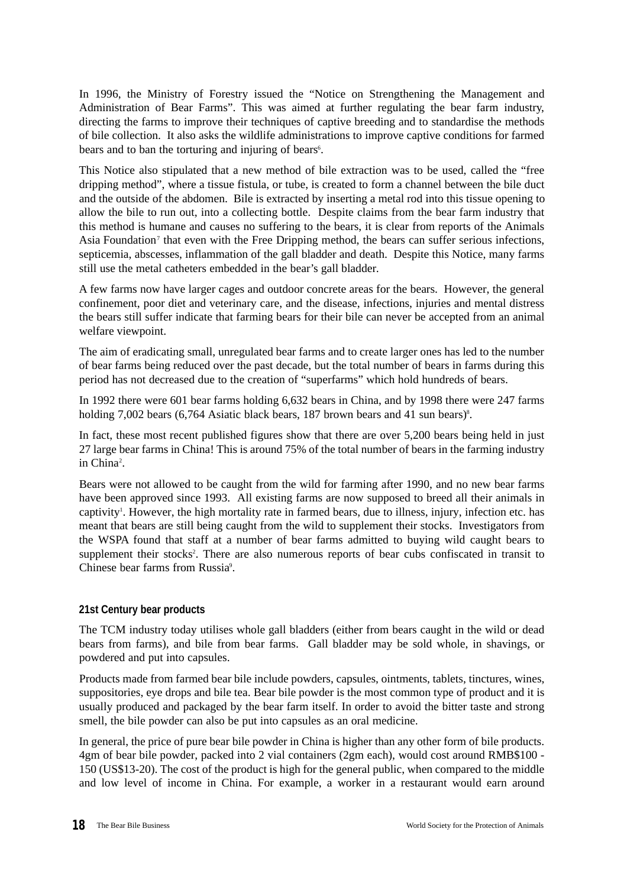In 1996, the Ministry of Forestry issued the "Notice on Strengthening the Management and Administration of Bear Farms". This was aimed at further regulating the bear farm industry, directing the farms to improve their techniques of captive breeding and to standardise the methods of bile collection. It also asks the wildlife administrations to improve captive conditions for farmed bears and to ban the torturing and injuring of bears<sup>6</sup>.

This Notice also stipulated that a new method of bile extraction was to be used, called the "free dripping method", where a tissue fistula, or tube, is created to form a channel between the bile duct and the outside of the abdomen. Bile is extracted by inserting a metal rod into this tissue opening to allow the bile to run out, into a collecting bottle. Despite claims from the bear farm industry that this method is humane and causes no suffering to the bears, it is clear from reports of the Animals Asia Foundation<sup>7</sup> that even with the Free Dripping method, the bears can suffer serious infections, septicemia, abscesses, inflammation of the gall bladder and death. Despite this Notice, many farms still use the metal catheters embedded in the bear's gall bladder.

A few farms now have larger cages and outdoor concrete areas for the bears. However, the general confinement, poor diet and veterinary care, and the disease, infections, injuries and mental distress the bears still suffer indicate that farming bears for their bile can never be accepted from an animal welfare viewpoint.

The aim of eradicating small, unregulated bear farms and to create larger ones has led to the number of bear farms being reduced over the past decade, but the total number of bears in farms during this period has not decreased due to the creation of "superfarms" which hold hundreds of bears.

In 1992 there were 601 bear farms holding 6,632 bears in China, and by 1998 there were 247 farms holding 7,002 bears (6,764 Asiatic black bears, 187 brown bears and 41 sun bears)<sup>8</sup>.

In fact, these most recent published figures show that there are over 5,200 bears being held in just 27 large bear farms in China! This is around 75% of the total number of bears in the farming industry in China<sup>2</sup>.

Bears were not allowed to be caught from the wild for farming after 1990, and no new bear farms have been approved since 1993. All existing farms are now supposed to breed all their animals in captivity<sup>1</sup>. However, the high mortality rate in farmed bears, due to illness, injury, infection etc. has meant that bears are still being caught from the wild to supplement their stocks. Investigators from the WSPA found that staff at a number of bear farms admitted to buying wild caught bears to supplement their stocks<sup>2</sup>. There are also numerous reports of bear cubs confiscated in transit to Chinese bear farms from Russia<sup>9</sup>.

# **21st Century bear products**

The TCM industry today utilises whole gall bladders (either from bears caught in the wild or dead bears from farms), and bile from bear farms. Gall bladder may be sold whole, in shavings, or powdered and put into capsules.

Products made from farmed bear bile include powders, capsules, ointments, tablets, tinctures, wines, suppositories, eye drops and bile tea. Bear bile powder is the most common type of product and it is usually produced and packaged by the bear farm itself. In order to avoid the bitter taste and strong smell, the bile powder can also be put into capsules as an oral medicine.

In general, the price of pure bear bile powder in China is higher than any other form of bile products. 4gm of bear bile powder, packed into 2 vial containers (2gm each), would cost around RMB\$100 - 150 (US\$13-20). The cost of the product is high for the general public, when compared to the middle and low level of income in China. For example, a worker in a restaurant would earn around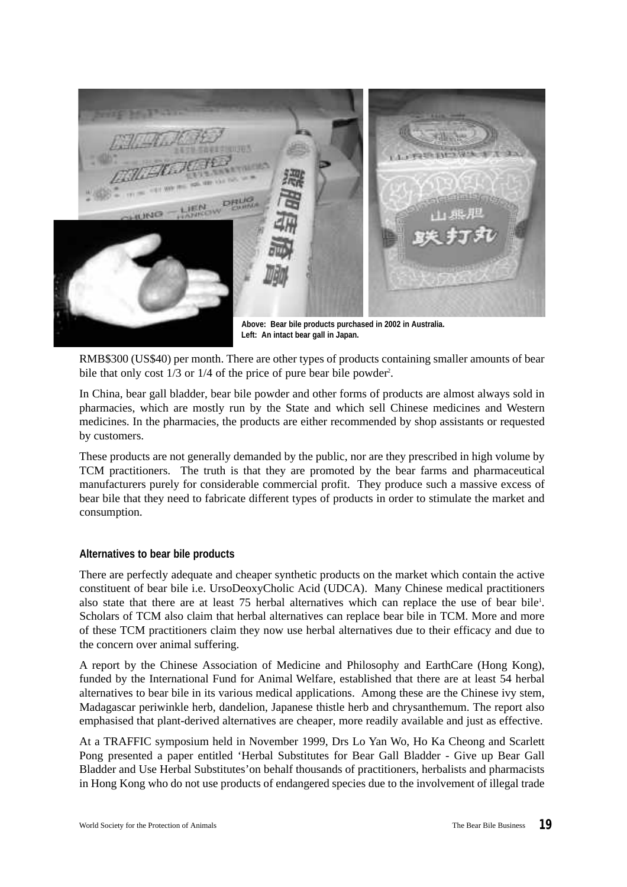**DRUG IEN Above: Bear bile products purchased in 2002 in Australia.** 

**Left: An intact bear gall in Japan.**

RMB\$300 (US\$40) per month. There are other types of products containing smaller amounts of bear bile that only cost 1/3 or 1/4 of the price of pure bear bile powder<sup>2</sup>.

In China, bear gall bladder, bear bile powder and other forms of products are almost always sold in pharmacies, which are mostly run by the State and which sell Chinese medicines and Western medicines. In the pharmacies, the products are either recommended by shop assistants or requested by customers.

These products are not generally demanded by the public, nor are they prescribed in high volume by TCM practitioners. The truth is that they are promoted by the bear farms and pharmaceutical manufacturers purely for considerable commercial profit. They produce such a massive excess of bear bile that they need to fabricate different types of products in order to stimulate the market and consumption.

# **Alternatives to bear bile products**

There are perfectly adequate and cheaper synthetic products on the market which contain the active constituent of bear bile i.e. UrsoDeoxyCholic Acid (UDCA). Many Chinese medical practitioners also state that there are at least 75 herbal alternatives which can replace the use of bear bile<sup>1</sup>. Scholars of TCM also claim that herbal alternatives can replace bear bile in TCM. More and more of these TCM practitioners claim they now use herbal alternatives due to their efficacy and due to the concern over animal suffering.

A report by the Chinese Association of Medicine and Philosophy and EarthCare (Hong Kong), funded by the International Fund for Animal Welfare, established that there are at least 54 herbal alternatives to bear bile in its various medical applications. Among these are the Chinese ivy stem, Madagascar periwinkle herb, dandelion, Japanese thistle herb and chrysanthemum. The report also emphasised that plant-derived alternatives are cheaper, more readily available and just as effective.

At a TRAFFIC symposium held in November 1999, Drs Lo Yan Wo, Ho Ka Cheong and Scarlett Pong presented a paper entitled 'Herbal Substitutes for Bear Gall Bladder - Give up Bear Gall Bladder and Use Herbal Substitutes'on behalf thousands of practitioners, herbalists and pharmacists in Hong Kong who do not use products of endangered species due to the involvement of illegal trade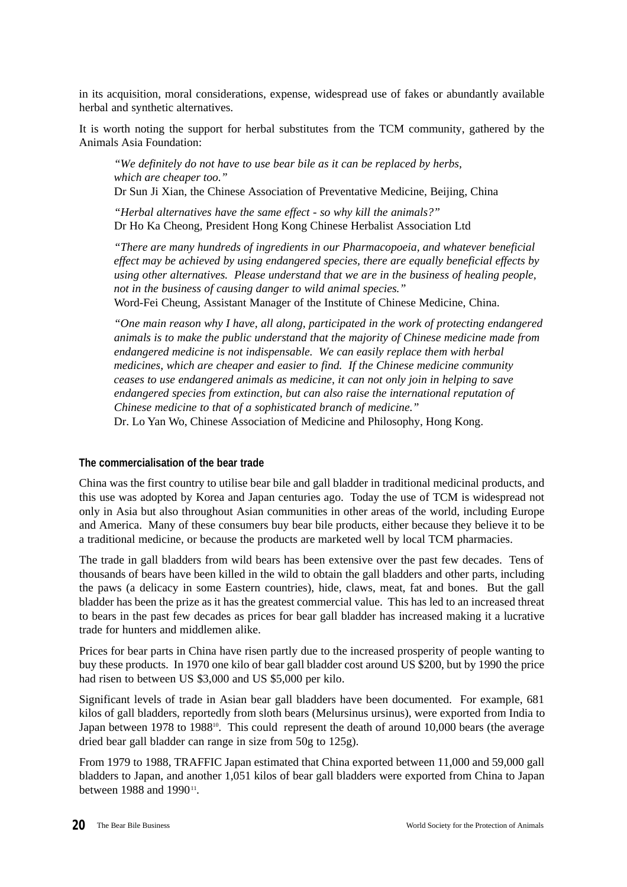in its acquisition, moral considerations, expense, widespread use of fakes or abundantly available herbal and synthetic alternatives.

It is worth noting the support for herbal substitutes from the TCM community, gathered by the Animals Asia Foundation:

*"We definitely do not have to use bear bile as it can be replaced by herbs, which are cheaper too."*

Dr Sun Ji Xian, the Chinese Association of Preventative Medicine, Beijing, China

*"Herbal alternatives have the same effect - so why kill the animals?"* Dr Ho Ka Cheong, President Hong Kong Chinese Herbalist Association Ltd

*"There are many hundreds of ingredients in our Pharmacopoeia, and whatever beneficial effect may be achieved by using endangered species, there are equally beneficial effects by using other alternatives. Please understand that we are in the business of healing people, not in the business of causing danger to wild animal species."* Word-Fei Cheung, Assistant Manager of the Institute of Chinese Medicine, China.

*"One main reason why I have, all along, participated in the work of protecting endangered animals is to make the public understand that the majority of Chinese medicine made from endangered medicine is not indispensable. We can easily replace them with herbal medicines, which are cheaper and easier to find. If the Chinese medicine community ceases to use endangered animals as medicine, it can not only join in helping to save endangered species from extinction, but can also raise the international reputation of Chinese medicine to that of a sophisticated branch of medicine."*

Dr. Lo Yan Wo, Chinese Association of Medicine and Philosophy, Hong Kong.

# **The commercialisation of the bear trade**

China was the first country to utilise bear bile and gall bladder in traditional medicinal products, and this use was adopted by Korea and Japan centuries ago. Today the use of TCM is widespread not only in Asia but also throughout Asian communities in other areas of the world, including Europe and America. Many of these consumers buy bear bile products, either because they believe it to be a traditional medicine, or because the products are marketed well by local TCM pharmacies.

The trade in gall bladders from wild bears has been extensive over the past few decades. Tens of thousands of bears have been killed in the wild to obtain the gall bladders and other parts, including the paws (a delicacy in some Eastern countries), hide, claws, meat, fat and bones. But the gall bladder has been the prize as it has the greatest commercial value. This has led to an increased threat to bears in the past few decades as prices for bear gall bladder has increased making it a lucrative trade for hunters and middlemen alike.

Prices for bear parts in China have risen partly due to the increased prosperity of people wanting to buy these products. In 1970 one kilo of bear gall bladder cost around US \$200, but by 1990 the price had risen to between US \$3,000 and US \$5,000 per kilo.

Significant levels of trade in Asian bear gall bladders have been documented. For example, 681 kilos of gall bladders, reportedly from sloth bears (Melursinus ursinus), were exported from India to Japan between 1978 to 1988<sup>10</sup>. This could represent the death of around 10,000 bears (the average dried bear gall bladder can range in size from 50g to 125g).

From 1979 to 1988, TRAFFIC Japan estimated that China exported between 11,000 and 59,000 gall bladders to Japan, and another 1,051 kilos of bear gall bladders were exported from China to Japan between 1988 and 1990 $11$ .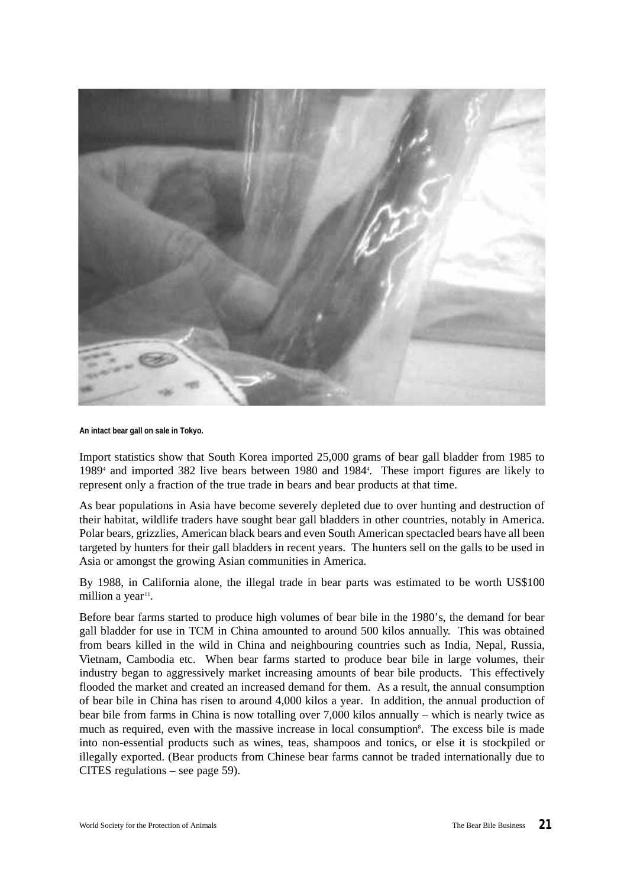

#### **An intact bear gall on sale in Tokyo.**

Import statistics show that South Korea imported 25,000 grams of bear gall bladder from 1985 to 1989<sup>4</sup> and imported 382 live bears between 1980 and 1984<sup>4</sup>. These import figures are likely to represent only a fraction of the true trade in bears and bear products at that time.

As bear populations in Asia have become severely depleted due to over hunting and destruction of their habitat, wildlife traders have sought bear gall bladders in other countries, notably in America. Polar bears, grizzlies, American black bears and even South American spectacled bears have all been targeted by hunters for their gall bladders in recent years. The hunters sell on the galls to be used in Asia or amongst the growing Asian communities in America.

By 1988, in California alone, the illegal trade in bear parts was estimated to be worth US\$100 million a year<sup>11</sup>.

Before bear farms started to produce high volumes of bear bile in the 1980's, the demand for bear gall bladder for use in TCM in China amounted to around 500 kilos annually. This was obtained from bears killed in the wild in China and neighbouring countries such as India, Nepal, Russia, Vietnam, Cambodia etc. When bear farms started to produce bear bile in large volumes, their industry began to aggressively market increasing amounts of bear bile products. This effectively flooded the market and created an increased demand for them. As a result, the annual consumption of bear bile in China has risen to around 4,000 kilos a year. In addition, the annual production of bear bile from farms in China is now totalling over 7,000 kilos annually – which is nearly twice as much as required, even with the massive increase in local consumption<sup>8</sup>. The excess bile is made into non-essential products such as wines, teas, shampoos and tonics, or else it is stockpiled or illegally exported. (Bear products from Chinese bear farms cannot be traded internationally due to CITES regulations – see page 59).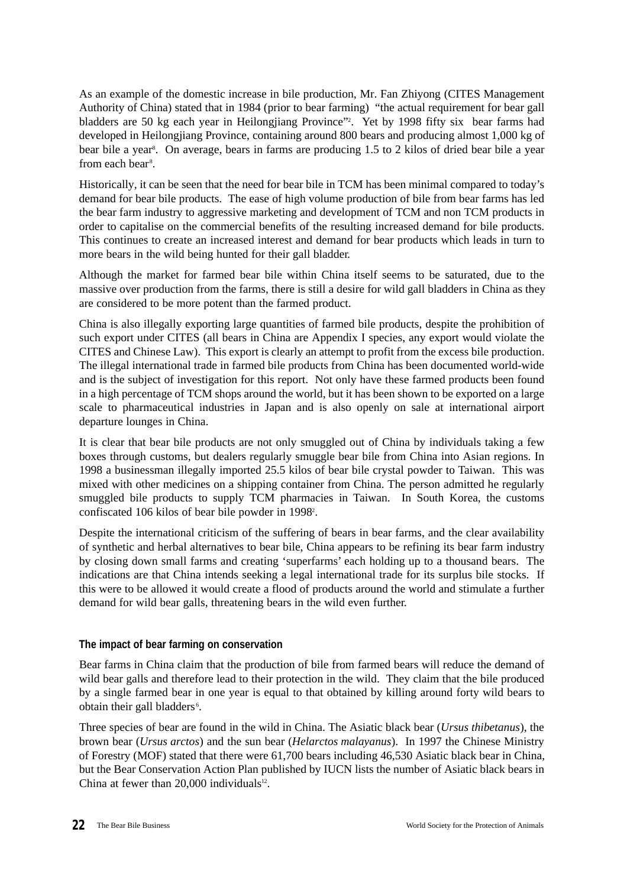As an example of the domestic increase in bile production, Mr. Fan Zhiyong (CITES Management Authority of China) stated that in 1984 (prior to bear farming) "the actual requirement for bear gall bladders are 50 kg each year in Heilongjiang Province"<sup>2</sup> . Yet by 1998 fifty six bear farms had developed in Heilongjiang Province, containing around 800 bears and producing almost 1,000 kg of bear bile a year<sup>8</sup>. On average, bears in farms are producing 1.5 to 2 kilos of dried bear bile a year from each bear<sup>8</sup>.

Historically, it can be seen that the need for bear bile in TCM has been minimal compared to today's demand for bear bile products. The ease of high volume production of bile from bear farms has led the bear farm industry to aggressive marketing and development of TCM and non TCM products in order to capitalise on the commercial benefits of the resulting increased demand for bile products. This continues to create an increased interest and demand for bear products which leads in turn to more bears in the wild being hunted for their gall bladder.

Although the market for farmed bear bile within China itself seems to be saturated, due to the massive over production from the farms, there is still a desire for wild gall bladders in China as they are considered to be more potent than the farmed product.

China is also illegally exporting large quantities of farmed bile products, despite the prohibition of such export under CITES (all bears in China are Appendix I species, any export would violate the CITES and Chinese Law). This export is clearly an attempt to profit from the excess bile production. The illegal international trade in farmed bile products from China has been documented world-wide and is the subject of investigation for this report. Not only have these farmed products been found in a high percentage of TCM shops around the world, but it has been shown to be exported on a large scale to pharmaceutical industries in Japan and is also openly on sale at international airport departure lounges in China.

It is clear that bear bile products are not only smuggled out of China by individuals taking a few boxes through customs, but dealers regularly smuggle bear bile from China into Asian regions. In 1998 a businessman illegally imported 25.5 kilos of bear bile crystal powder to Taiwan. This was mixed with other medicines on a shipping container from China. The person admitted he regularly smuggled bile products to supply TCM pharmacies in Taiwan. In South Korea, the customs confiscated 106 kilos of bear bile powder in 1998<sup>2</sup>.

Despite the international criticism of the suffering of bears in bear farms, and the clear availability of synthetic and herbal alternatives to bear bile, China appears to be refining its bear farm industry by closing down small farms and creating 'superfarms' each holding up to a thousand bears. The indications are that China intends seeking a legal international trade for its surplus bile stocks. If this were to be allowed it would create a flood of products around the world and stimulate a further demand for wild bear galls, threatening bears in the wild even further.

# **The impact of bear farming on conservation**

Bear farms in China claim that the production of bile from farmed bears will reduce the demand of wild bear galls and therefore lead to their protection in the wild. They claim that the bile produced by a single farmed bear in one year is equal to that obtained by killing around forty wild bears to obtain their gall bladders<sup>6</sup>.

Three species of bear are found in the wild in China. The Asiatic black bear (*Ursus thibetanus*), the brown bear (*Ursus arctos*) and the sun bear (*Helarctos malayanus*). In 1997 the Chinese Ministry of Forestry (MOF) stated that there were 61,700 bears including 46,530 Asiatic black bear in China, but the Bear Conservation Action Plan published by IUCN lists the number of Asiatic black bears in China at fewer than  $20,000$  individuals<sup>12</sup>.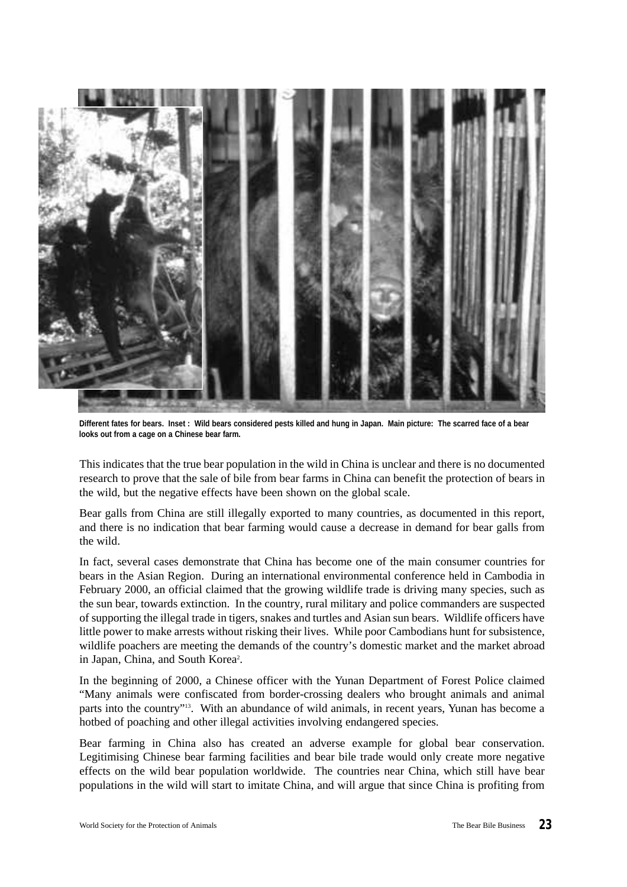

**Different fates for bears. Inset : Wild bears considered pests killed and hung in Japan. Main picture: The scarred face of a bear looks out from a cage on a Chinese bear farm.**

This indicates that the true bear population in the wild in China is unclear and there is no documented research to prove that the sale of bile from bear farms in China can benefit the protection of bears in the wild, but the negative effects have been shown on the global scale.

Bear galls from China are still illegally exported to many countries, as documented in this report, and there is no indication that bear farming would cause a decrease in demand for bear galls from the wild.

In fact, several cases demonstrate that China has become one of the main consumer countries for bears in the Asian Region. During an international environmental conference held in Cambodia in February 2000, an official claimed that the growing wildlife trade is driving many species, such as the sun bear, towards extinction. In the country, rural military and police commanders are suspected of supporting the illegal trade in tigers, snakes and turtles and Asian sun bears. Wildlife officers have little power to make arrests without risking their lives. While poor Cambodians hunt for subsistence, wildlife poachers are meeting the demands of the country's domestic market and the market abroad in Japan, China, and South Korea<sup>2</sup>.

In the beginning of 2000, a Chinese officer with the Yunan Department of Forest Police claimed "Many animals were confiscated from border-crossing dealers who brought animals and animal parts into the country"<sup>13</sup>. With an abundance of wild animals, in recent years, Yunan has become a hotbed of poaching and other illegal activities involving endangered species.

Bear farming in China also has created an adverse example for global bear conservation. Legitimising Chinese bear farming facilities and bear bile trade would only create more negative effects on the wild bear population worldwide. The countries near China, which still have bear populations in the wild will start to imitate China, and will argue that since China is profiting from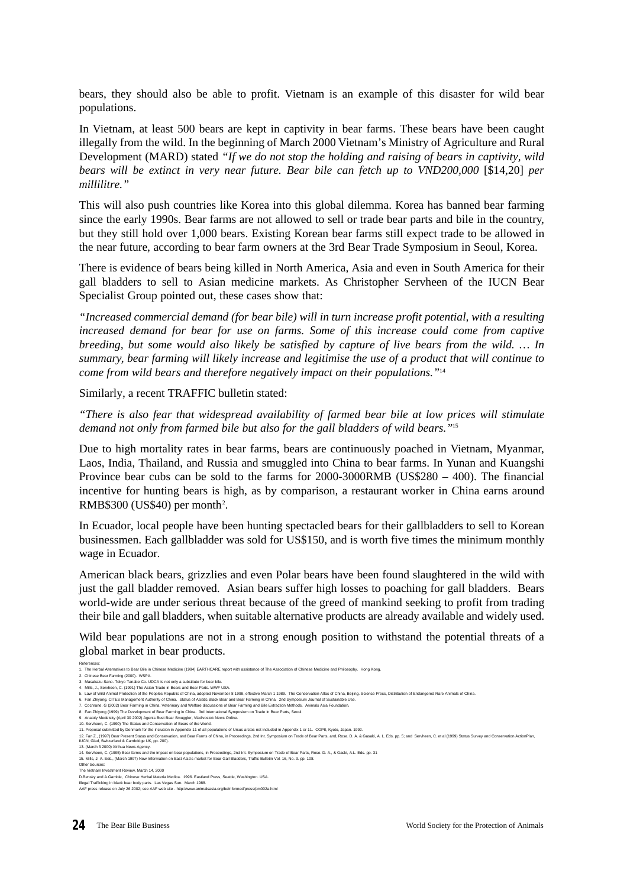bears, they should also be able to profit. Vietnam is an example of this disaster for wild bear populations.

In Vietnam, at least 500 bears are kept in captivity in bear farms. These bears have been caught illegally from the wild. In the beginning of March 2000 Vietnam's Ministry of Agriculture and Rural Development (MARD) stated *"If we do not stop the holding and raising of bears in captivity, wild bears will be extinct in very near future. Bear bile can fetch up to VND200,000* [\$14,20] *per millilitre."*

This will also push countries like Korea into this global dilemma. Korea has banned bear farming since the early 1990s. Bear farms are not allowed to sell or trade bear parts and bile in the country, but they still hold over 1,000 bears. Existing Korean bear farms still expect trade to be allowed in the near future, according to bear farm owners at the 3rd Bear Trade Symposium in Seoul, Korea.

There is evidence of bears being killed in North America, Asia and even in South America for their gall bladders to sell to Asian medicine markets. As Christopher Servheen of the IUCN Bear Specialist Group pointed out, these cases show that:

*"Increased commercial demand (for bear bile) will in turn increase profit potential, with a resulting increased demand for bear for use on farms. Some of this increase could come from captive breeding, but some would also likely be satisfied by capture of live bears from the wild. … In summary, bear farming will likely increase and legitimise the use of a product that will continue to come from wild bears and therefore negatively impact on their populations."*<sup>14</sup>

Similarly, a recent TRAFFIC bulletin stated:

*"There is also fear that widespread availability of farmed bear bile at low prices will stimulate demand not only from farmed bile but also for the gall bladders of wild bears."*<sup>15</sup>

Due to high mortality rates in bear farms, bears are continuously poached in Vietnam, Myanmar, Laos, India, Thailand, and Russia and smuggled into China to bear farms. In Yunan and Kuangshi Province bear cubs can be sold to the farms for 2000-3000RMB (US\$280 – 400). The financial incentive for hunting bears is high, as by comparison, a restaurant worker in China earns around RMB\$300 (US\$40) per month<sup>2</sup>.

In Ecuador, local people have been hunting spectacled bears for their gallbladders to sell to Korean businessmen. Each gallbladder was sold for US\$150, and is worth five times the minimum monthly wage in Ecuador.

American black bears, grizzlies and even Polar bears have been found slaughtered in the wild with just the gall bladder removed. Asian bears suffer high losses to poaching for gall bladders. Bears world-wide are under serious threat because of the greed of mankind seeking to profit from trading their bile and gall bladders, when suitable alternative products are already available and widely used.

Wild bear populations are not in a strong enough position to withstand the potential threats of a global market in bear products.

References: 1. The Herbal Alternatives to Bear Bile in Chinese Medicine (1994) EARTHCARE report with assistance of The Association of Chinese Medicine and Philosophy. Hong Kong. 2. Chinese Bear Farming (2000). WSPA.

<sup>3.</sup> Masakazu Sano. Tokyo Tanabe Co. UDCA is not only a substitute for bear bile.

<sup>4.</sup> Mils, J., Servheen, C. (1991) The Asian Trade in Bears and Bear Parts. WWF USA.<br>5. Law of Wid Animal Protection of the Peoples Republic of China, adopted November 8 1998, effective March 1 1989. The Conservation Atlas o

<sup>8.</sup> Fan Zhiyong (1999) The Development of Bear Farming in China. 3rd International Symposium on Trade in Bear Parts, Seoul.<br>9. Anatoly Medetsky (April 30 2002) Agents Bust Bear Smuggler, Wadvostok News Online.<br>10. Servhee

<sup>11.</sup> Proposal submitted by Denmark for the inclusion in Appendix 11 of all populations of Ursus arctos not included in Appendix 1 or 11. COP8, Kyoto, Japan. 1992.<br>12. Fan Z., (1997) Bear Present State Marken and Bear Farms

<sup>10</sup>CN, Glad, Switzenland & Cambridge t<br>13. (March 3 2000) Xinhua News Agenc

<sup>14.</sup> Servheen, C. (1995) Bear farms and the impact on bear populations, in Proceedings, 2nd Int. Symposium on Trade of Bear Parts, Rose. D. A., & Gaski, A.L. Eds. pp. 31<br>15. Mills, J. A. Eds., (March 1997) New Information o

Other Sources:

The Vietnam Investment Review, March 14, 2000 D.Bensky and A.Gamble, Chinese Herbal Materia Medica. 1996. Eastland Press, Seattle, Washington. USA.

lllegal Trafficking in black bear body parts. Las Vegas Sun. March 1988.<br>AAF press release on July 26 2002; see AAF web site - http://www.animalsasia.org/beInformed/press/pm002a.html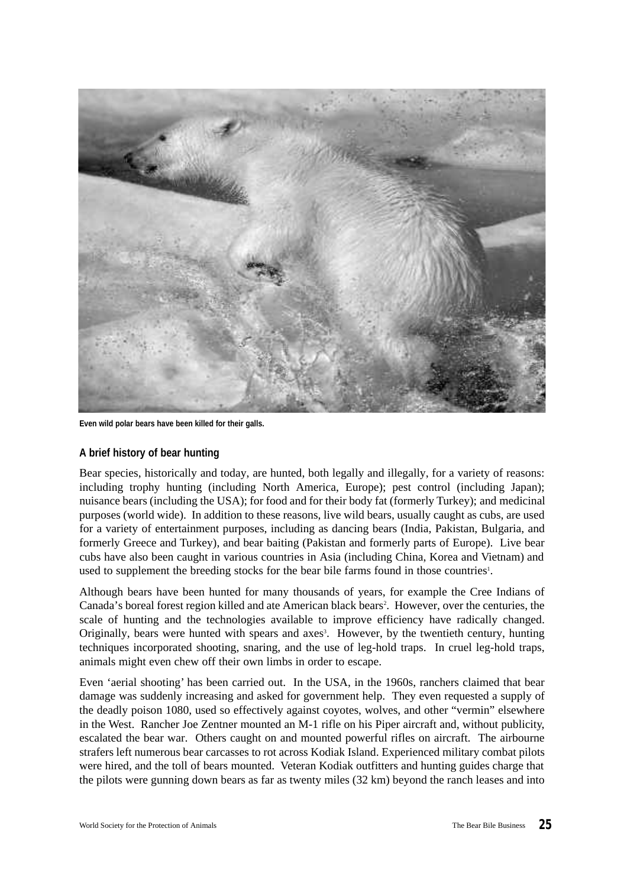

**Even wild polar bears have been killed for their galls.**

# **A brief history of bear hunting**

Bear species, historically and today, are hunted, both legally and illegally, for a variety of reasons: including trophy hunting (including North America, Europe); pest control (including Japan); nuisance bears (including the USA); for food and for their body fat (formerly Turkey); and medicinal purposes (world wide). In addition to these reasons, live wild bears, usually caught as cubs, are used for a variety of entertainment purposes, including as dancing bears (India, Pakistan, Bulgaria, and formerly Greece and Turkey), and bear baiting (Pakistan and formerly parts of Europe). Live bear cubs have also been caught in various countries in Asia (including China, Korea and Vietnam) and used to supplement the breeding stocks for the bear bile farms found in those countries<sup>1</sup>.

Although bears have been hunted for many thousands of years, for example the Cree Indians of Canada's boreal forest region killed and ate American black bears<sup>2</sup>. However, over the centuries, the scale of hunting and the technologies available to improve efficiency have radically changed. Originally, bears were hunted with spears and axes<sup>3</sup>. However, by the twentieth century, hunting techniques incorporated shooting, snaring, and the use of leg-hold traps. In cruel leg-hold traps, animals might even chew off their own limbs in order to escape.

Even 'aerial shooting' has been carried out. In the USA, in the 1960s, ranchers claimed that bear damage was suddenly increasing and asked for government help. They even requested a supply of the deadly poison 1080, used so effectively against coyotes, wolves, and other "vermin" elsewhere in the West. Rancher Joe Zentner mounted an M-1 rifle on his Piper aircraft and, without publicity, escalated the bear war. Others caught on and mounted powerful rifles on aircraft. The airbourne strafers left numerous bear carcasses to rot across Kodiak Island. Experienced military combat pilots were hired, and the toll of bears mounted. Veteran Kodiak outfitters and hunting guides charge that the pilots were gunning down bears as far as twenty miles (32 km) beyond the ranch leases and into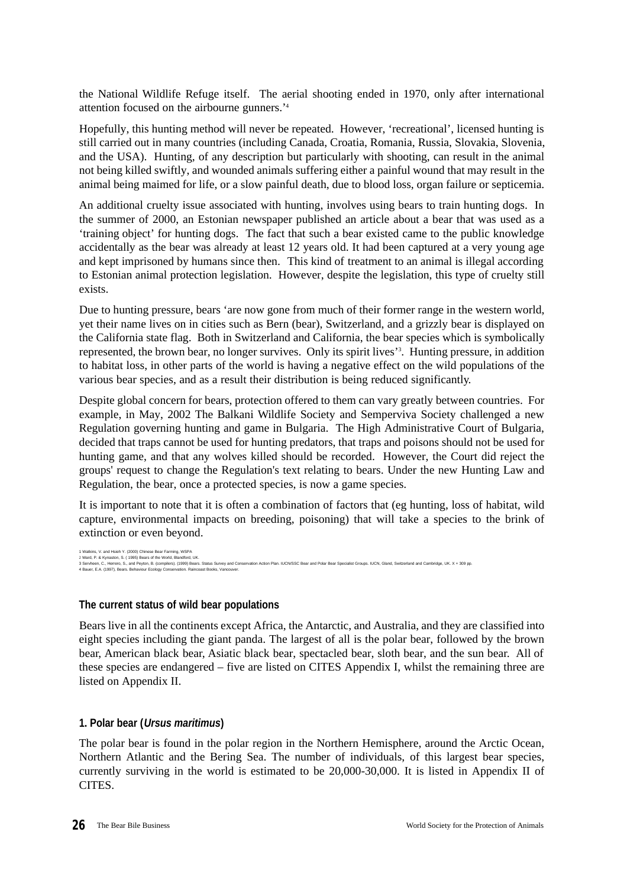the National Wildlife Refuge itself. The aerial shooting ended in 1970, only after international attention focused on the airbourne gunners.'<sup>4</sup>

Hopefully, this hunting method will never be repeated. However, 'recreational', licensed hunting is still carried out in many countries (including Canada, Croatia, Romania, Russia, Slovakia, Slovenia, and the USA). Hunting, of any description but particularly with shooting, can result in the animal not being killed swiftly, and wounded animals suffering either a painful wound that may result in the animal being maimed for life, or a slow painful death, due to blood loss, organ failure or septicemia.

An additional cruelty issue associated with hunting, involves using bears to train hunting dogs. In the summer of 2000, an Estonian newspaper published an article about a bear that was used as a 'training object' for hunting dogs. The fact that such a bear existed came to the public knowledge accidentally as the bear was already at least 12 years old. It had been captured at a very young age and kept imprisoned by humans since then. This kind of treatment to an animal is illegal according to Estonian animal protection legislation. However, despite the legislation, this type of cruelty still exists.

Due to hunting pressure, bears 'are now gone from much of their former range in the western world, yet their name lives on in cities such as Bern (bear), Switzerland, and a grizzly bear is displayed on the California state flag. Both in Switzerland and California, the bear species which is symbolically represented, the brown bear, no longer survives. Only its spirit lives'<sup>3</sup> . Hunting pressure, in addition to habitat loss, in other parts of the world is having a negative effect on the wild populations of the various bear species, and as a result their distribution is being reduced significantly.

Despite global concern for bears, protection offered to them can vary greatly between countries. For example, in May, 2002 The Balkani Wildlife Society and Semperviva Society challenged a new Regulation governing hunting and game in Bulgaria. The High Administrative Court of Bulgaria, decided that traps cannot be used for hunting predators, that traps and poisons should not be used for hunting game, and that any wolves killed should be recorded. However, the Court did reject the groups' request to change the Regulation's text relating to bears. Under the new Hunting Law and Regulation, the bear, once a protected species, is now a game species.

It is important to note that it is often a combination of factors that (eg hunting, loss of habitat, wild capture, environmental impacts on breeding, poisoning) that will take a species to the brink of extinction or even beyond.

1 Watkins, V. and Hsieh Y. (2000) Chinese Bear Farming, WSPA 2 Ward, P. & Kynsston, S. (1995) Bears of the World, Blandford, UK.<br>3 Servheen, C., Herrero, S., and Per/ton, B. (compliers). (1999) Bears. Status Survey and Conservation Action Plan. IUCN/SSC Bear and Polar Bear Speciali 4 Bauer, E.A. (1997), Bears. Behaviour Ecology Conservation. Raincoast Books, Vancouver.

# **The current status of wild bear populations**

Bears live in all the continents except Africa, the Antarctic, and Australia, and they are classified into eight species including the giant panda. The largest of all is the polar bear, followed by the brown bear, American black bear, Asiatic black bear, spectacled bear, sloth bear, and the sun bear. All of these species are endangered – five are listed on CITES Appendix I, whilst the remaining three are listed on Appendix II.

# **1. Polar bear (***Ursus maritimus***)**

The polar bear is found in the polar region in the Northern Hemisphere, around the Arctic Ocean, Northern Atlantic and the Bering Sea. The number of individuals, of this largest bear species, currently surviving in the world is estimated to be 20,000-30,000. It is listed in Appendix II of CITES.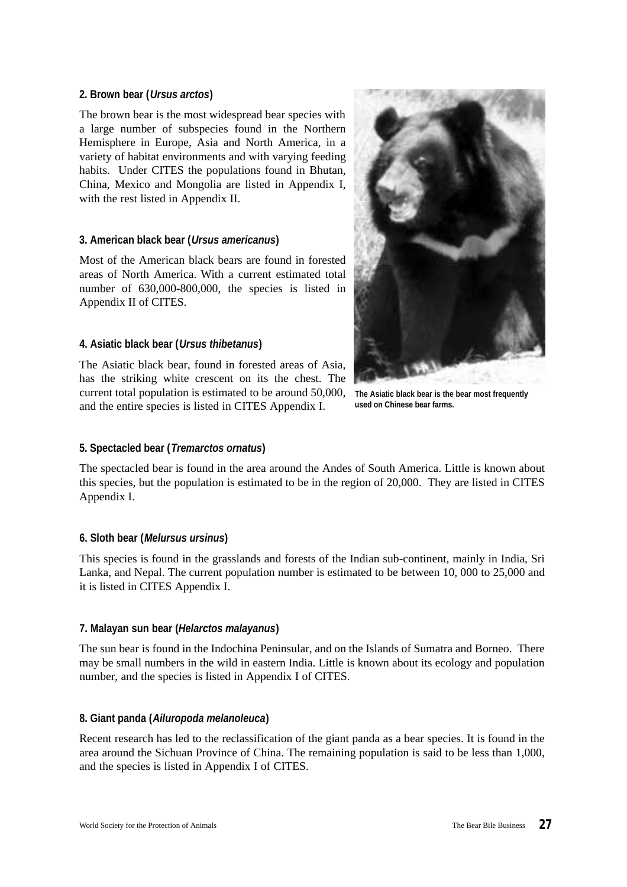# **2. Brown bear (***Ursus arctos***)**

The brown bear is the most widespread bear species with a large number of subspecies found in the Northern Hemisphere in Europe, Asia and North America, in a variety of habitat environments and with varying feeding habits. Under CITES the populations found in Bhutan, China, Mexico and Mongolia are listed in Appendix I, with the rest listed in Appendix II.

# **3. American black bear (***Ursus americanus***)**

Most of the American black bears are found in forested areas of North America. With a current estimated total number of 630,000-800,000, the species is listed in Appendix II of CITES.

# **4. Asiatic black bear (***Ursus thibetanus***)**

The Asiatic black bear, found in forested areas of Asia, has the striking white crescent on its the chest. The current total population is estimated to be around 50,000, and the entire species is listed in CITES Appendix I.



**The Asiatic black bear is the bear most frequently used on Chinese bear farms.**

# **5. Spectacled bear (***Tremarctos ornatus***)**

The spectacled bear is found in the area around the Andes of South America. Little is known about this species, but the population is estimated to be in the region of 20,000. They are listed in CITES Appendix I.

# **6. Sloth bear (***Melursus ursinus***)**

This species is found in the grasslands and forests of the Indian sub-continent, mainly in India, Sri Lanka, and Nepal. The current population number is estimated to be between 10, 000 to 25,000 and it is listed in CITES Appendix I.

# **7. Malayan sun bear (***Helarctos malayanus***)**

The sun bear is found in the Indochina Peninsular, and on the Islands of Sumatra and Borneo. There may be small numbers in the wild in eastern India. Little is known about its ecology and population number, and the species is listed in Appendix I of CITES.

# **8. Giant panda (***Ailuropoda melanoleuca***)**

Recent research has led to the reclassification of the giant panda as a bear species. It is found in the area around the Sichuan Province of China. The remaining population is said to be less than 1,000, and the species is listed in Appendix I of CITES.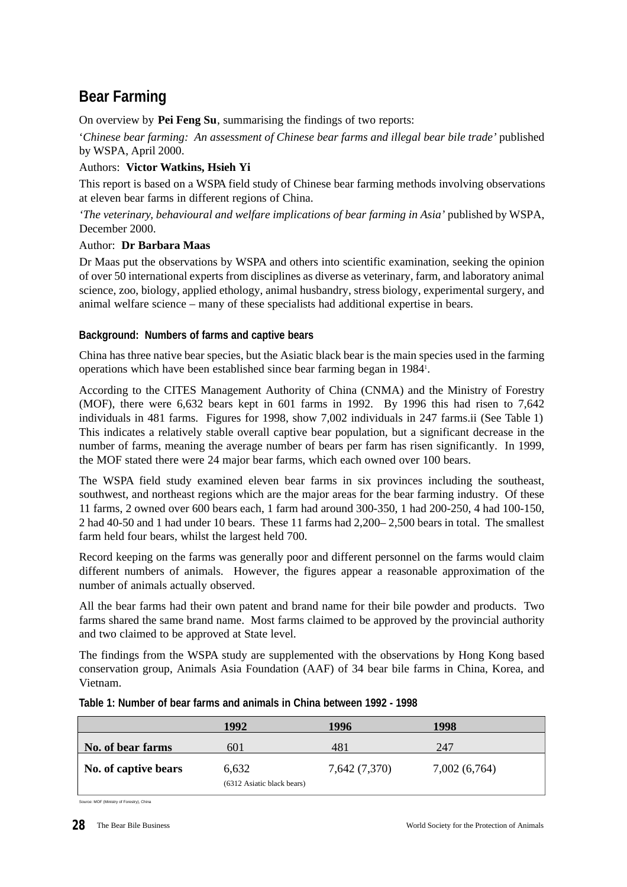# **Bear Farming**

On overview by **Pei Feng Su**, summarising the findings of two reports:

'*Chinese bear farming: An assessment of Chinese bear farms and illegal bear bile trade'* published by WSPA, April 2000.

# Authors: **Victor Watkins, Hsieh Yi**

This report is based on a WSPA field study of Chinese bear farming methods involving observations at eleven bear farms in different regions of China.

*'The veterinary, behavioural and welfare implications of bear farming in Asia'* published by WSPA, December 2000.

# Author: **Dr Barbara Maas**

Dr Maas put the observations by WSPA and others into scientific examination, seeking the opinion of over 50 international experts from disciplines as diverse as veterinary, farm, and laboratory animal science, zoo, biology, applied ethology, animal husbandry, stress biology, experimental surgery, and animal welfare science – many of these specialists had additional expertise in bears.

# **Background: Numbers of farms and captive bears**

China has three native bear species, but the Asiatic black bear is the main species used in the farming operations which have been established since bear farming began in 1984<sup>1</sup>.

According to the CITES Management Authority of China (CNMA) and the Ministry of Forestry (MOF), there were 6,632 bears kept in 601 farms in 1992. By 1996 this had risen to 7,642 individuals in 481 farms. Figures for 1998, show 7,002 individuals in 247 farms.ii (See Table 1) This indicates a relatively stable overall captive bear population, but a significant decrease in the number of farms, meaning the average number of bears per farm has risen significantly. In 1999, the MOF stated there were 24 major bear farms, which each owned over 100 bears.

The WSPA field study examined eleven bear farms in six provinces including the southeast, southwest, and northeast regions which are the major areas for the bear farming industry. Of these 11 farms, 2 owned over 600 bears each, 1 farm had around 300-350, 1 had 200-250, 4 had 100-150, 2 had 40-50 and 1 had under 10 bears. These 11 farms had 2,200– 2,500 bears in total. The smallest farm held four bears, whilst the largest held 700.

Record keeping on the farms was generally poor and different personnel on the farms would claim different numbers of animals. However, the figures appear a reasonable approximation of the number of animals actually observed.

All the bear farms had their own patent and brand name for their bile powder and products. Two farms shared the same brand name. Most farms claimed to be approved by the provincial authority and two claimed to be approved at State level.

The findings from the WSPA study are supplemented with the observations by Hong Kong based conservation group, Animals Asia Foundation (AAF) of 34 bear bile farms in China, Korea, and Vietnam.

|                      | 1992                                | 1996          | 1998          |
|----------------------|-------------------------------------|---------------|---------------|
| No. of bear farms    | 601                                 | 481           | 247           |
| No. of captive bears | 6,632<br>(6312 Asiatic black bears) | 7,642 (7,370) | 7,002 (6,764) |

# **Table 1: Number of bear farms and animals in China between 1992 - 1998**

Source: MOF (Ministry of Forestry), China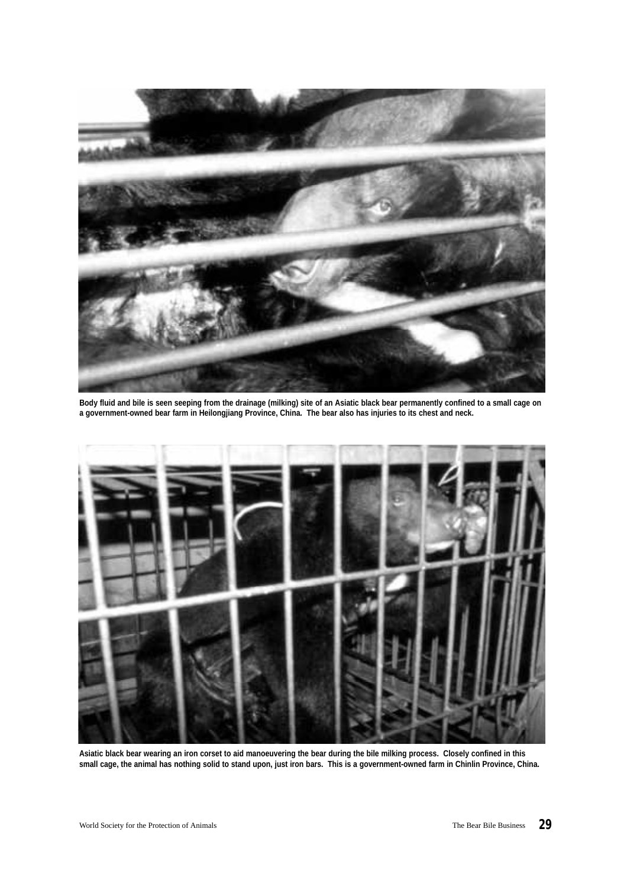

**Body fluid and bile is seen seeping from the drainage (milking) site of an Asiatic black bear permanently confined to a small cage on a government-owned bear farm in Heilongjiang Province, China. The bear also has injuries to its chest and neck.**



**Asiatic black bear wearing an iron corset to aid manoeuvering the bear during the bile milking process. Closely confined in this small cage, the animal has nothing solid to stand upon, just iron bars. This is a government-owned farm in Chinlin Province, China.**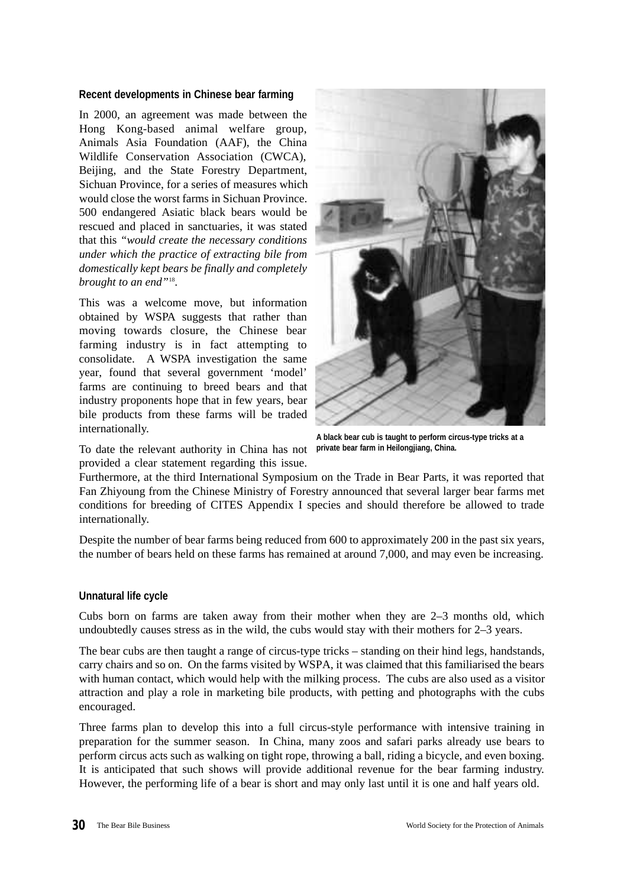#### **Recent developments in Chinese bear farming**

In 2000, an agreement was made between the Hong Kong-based animal welfare group, Animals Asia Foundation (AAF), the China Wildlife Conservation Association (CWCA), Beijing, and the State Forestry Department, Sichuan Province, for a series of measures which would close the worst farms in Sichuan Province. 500 endangered Asiatic black bears would be rescued and placed in sanctuaries, it was stated that this *"would create the necessary conditions under which the practice of extracting bile from domestically kept bears be finally and completely brought to an end"*<sup>18</sup> .

This was a welcome move, but information obtained by WSPA suggests that rather than moving towards closure, the Chinese bear farming industry is in fact attempting to consolidate. A WSPA investigation the same year, found that several government 'model' farms are continuing to breed bears and that industry proponents hope that in few years, bear bile products from these farms will be traded internationally.

To date the relevant authority in China has not provided a clear statement regarding this issue.



Furthermore, at the third International Symposium on the Trade in Bear Parts, it was reported that Fan Zhiyoung from the Chinese Ministry of Forestry announced that several larger bear farms met conditions for breeding of CITES Appendix I species and should therefore be allowed to trade internationally.

Despite the number of bear farms being reduced from 600 to approximately 200 in the past six years, the number of bears held on these farms has remained at around 7,000, and may even be increasing.

# **Unnatural life cycle**

Cubs born on farms are taken away from their mother when they are 2–3 months old, which undoubtedly causes stress as in the wild, the cubs would stay with their mothers for 2–3 years.

The bear cubs are then taught a range of circus-type tricks – standing on their hind legs, handstands, carry chairs and so on. On the farms visited by WSPA, it was claimed that this familiarised the bears with human contact, which would help with the milking process. The cubs are also used as a visitor attraction and play a role in marketing bile products, with petting and photographs with the cubs encouraged.

Three farms plan to develop this into a full circus-style performance with intensive training in preparation for the summer season. In China, many zoos and safari parks already use bears to perform circus acts such as walking on tight rope, throwing a ball, riding a bicycle, and even boxing. It is anticipated that such shows will provide additional revenue for the bear farming industry. However, the performing life of a bear is short and may only last until it is one and half years old.

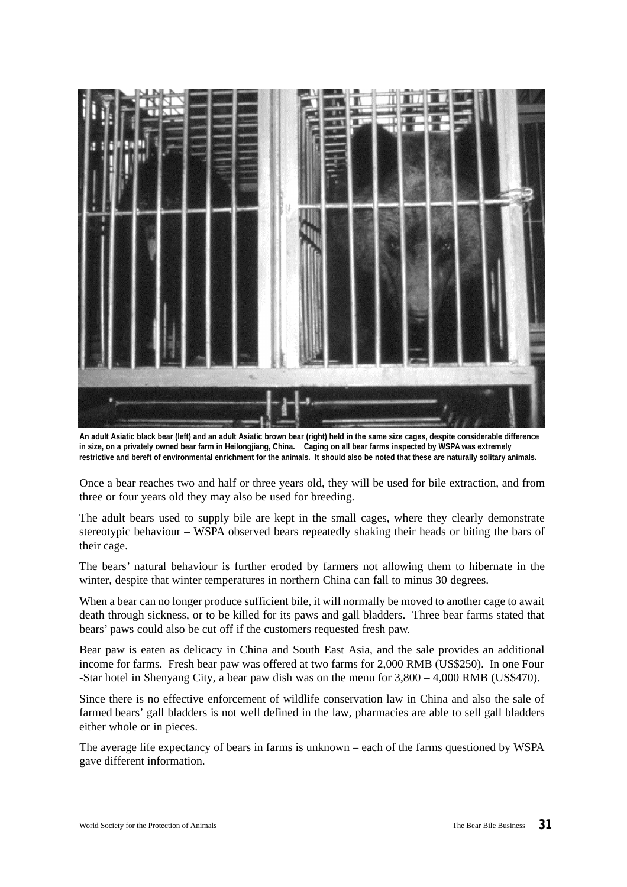

**An adult Asiatic black bear (left) and an adult Asiatic brown bear (right) held in the same size cages, despite considerable difference in size, on a privately owned bear farm in Heilongjiang, China. Caging on all bear farms inspected by WSPA was extremely restrictive and bereft of environmental enrichment for the animals. It should also be noted that these are naturally solitary animals.**

Once a bear reaches two and half or three years old, they will be used for bile extraction, and from three or four years old they may also be used for breeding.

The adult bears used to supply bile are kept in the small cages, where they clearly demonstrate stereotypic behaviour – WSPA observed bears repeatedly shaking their heads or biting the bars of their cage.

The bears' natural behaviour is further eroded by farmers not allowing them to hibernate in the winter, despite that winter temperatures in northern China can fall to minus 30 degrees.

When a bear can no longer produce sufficient bile, it will normally be moved to another cage to await death through sickness, or to be killed for its paws and gall bladders. Three bear farms stated that bears' paws could also be cut off if the customers requested fresh paw.

Bear paw is eaten as delicacy in China and South East Asia, and the sale provides an additional income for farms. Fresh bear paw was offered at two farms for 2,000 RMB (US\$250). In one Four -Star hotel in Shenyang City, a bear paw dish was on the menu for 3,800 – 4,000 RMB (US\$470).

Since there is no effective enforcement of wildlife conservation law in China and also the sale of farmed bears' gall bladders is not well defined in the law, pharmacies are able to sell gall bladders either whole or in pieces.

The average life expectancy of bears in farms is unknown – each of the farms questioned by WSPA gave different information.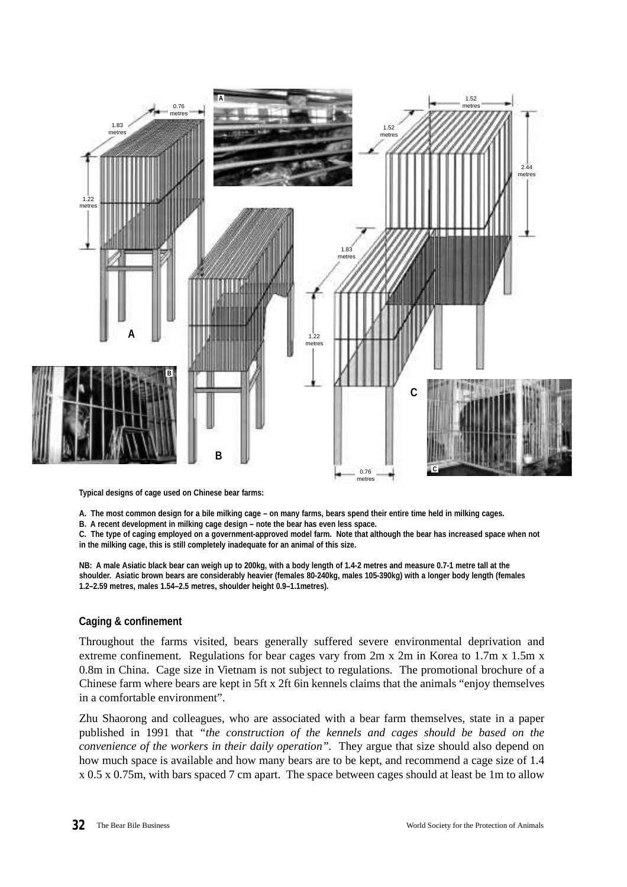

**Typical designs of cage used on Chinese bear farms:**

**A. The most common design for a bile milking cage – on many farms, bears spend their entire time held in milking cages.**

**B. A recent development in milking cage design – note the bear has even less space.**

**C. The type of caging employed on a government-approved model farm. Note that although the bear has increased space when not in the milking cage, this is still completely inadequate for an animal of this size.**

**NB: A male Asiatic black bear can weigh up to 200kg, with a body length of 1.4-2 metres and measure 0.7-1 metre tall at the shoulder. Asiatic brown bears are considerably heavier (females 80-240kg, males 105-390kg) with a longer body length (females 1.2–2.59 metres, males 1.54–2.5 metres, shoulder height 0.9–1.1metres).**

# **Caging & confinement**

Throughout the farms visited, bears generally suffered severe environmental deprivation and extreme confinement. Regulations for bear cages vary from 2m x 2m in Korea to 1.7m x 1.5m x 0.8m in China. Cage size in Vietnam is not subject to regulations. The promotional brochure of a Chinese farm where bears are kept in 5ft x 2ft 6in kennels claims that the animals "enjoy themselves in a comfortable environment".

Zhu Shaorong and colleagues, who are associated with a bear farm themselves, state in a paper published in 1991 that *"the construction of the kennels and cages should be based on the convenience of the workers in their daily operation".* They argue that size should also depend on how much space is available and how many bears are to be kept, and recommend a cage size of 1.4 x 0.5 x 0.75m, with bars spaced 7 cm apart. The space between cages should at least be 1m to allow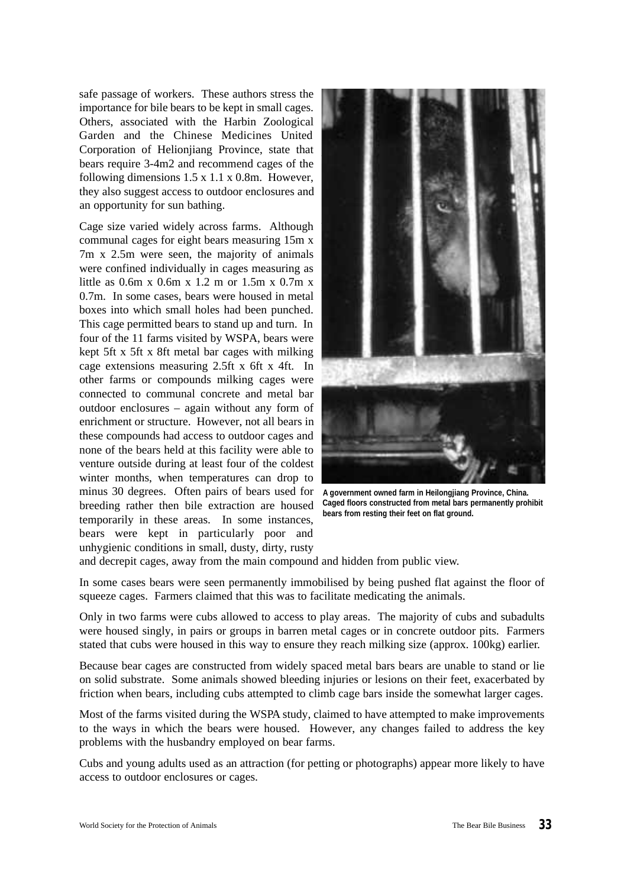safe passage of workers. These authors stress the importance for bile bears to be kept in small cages. Others, associated with the Harbin Zoological Garden and the Chinese Medicines United Corporation of Helionjiang Province, state that bears require 3-4m2 and recommend cages of the following dimensions 1.5 x 1.1 x 0.8m. However, they also suggest access to outdoor enclosures and an opportunity for sun bathing.

Cage size varied widely across farms. Although communal cages for eight bears measuring 15m x 7m x 2.5m were seen, the majority of animals were confined individually in cages measuring as little as 0.6m x 0.6m x 1.2 m or 1.5m x 0.7m x 0.7m. In some cases, bears were housed in metal boxes into which small holes had been punched. This cage permitted bears to stand up and turn. In four of the 11 farms visited by WSPA, bears were kept 5ft x 5ft x 8ft metal bar cages with milking cage extensions measuring 2.5ft x 6ft x 4ft. In other farms or compounds milking cages were connected to communal concrete and metal bar outdoor enclosures – again without any form of enrichment or structure. However, not all bears in these compounds had access to outdoor cages and none of the bears held at this facility were able to venture outside during at least four of the coldest winter months, when temperatures can drop to minus 30 degrees. Often pairs of bears used for breeding rather then bile extraction are housed temporarily in these areas. In some instances, bears were kept in particularly poor and unhygienic conditions in small, dusty, dirty, rusty



**A government owned farm in Heilongjiang Province, China. Caged floors constructed from metal bars permanently prohibit bears from resting their feet on flat ground.**

and decrepit cages, away from the main compound and hidden from public view.

In some cases bears were seen permanently immobilised by being pushed flat against the floor of squeeze cages. Farmers claimed that this was to facilitate medicating the animals.

Only in two farms were cubs allowed to access to play areas. The majority of cubs and subadults were housed singly, in pairs or groups in barren metal cages or in concrete outdoor pits. Farmers stated that cubs were housed in this way to ensure they reach milking size (approx. 100kg) earlier.

Because bear cages are constructed from widely spaced metal bars bears are unable to stand or lie on solid substrate. Some animals showed bleeding injuries or lesions on their feet, exacerbated by friction when bears, including cubs attempted to climb cage bars inside the somewhat larger cages.

Most of the farms visited during the WSPA study, claimed to have attempted to make improvements to the ways in which the bears were housed. However, any changes failed to address the key problems with the husbandry employed on bear farms.

Cubs and young adults used as an attraction (for petting or photographs) appear more likely to have access to outdoor enclosures or cages.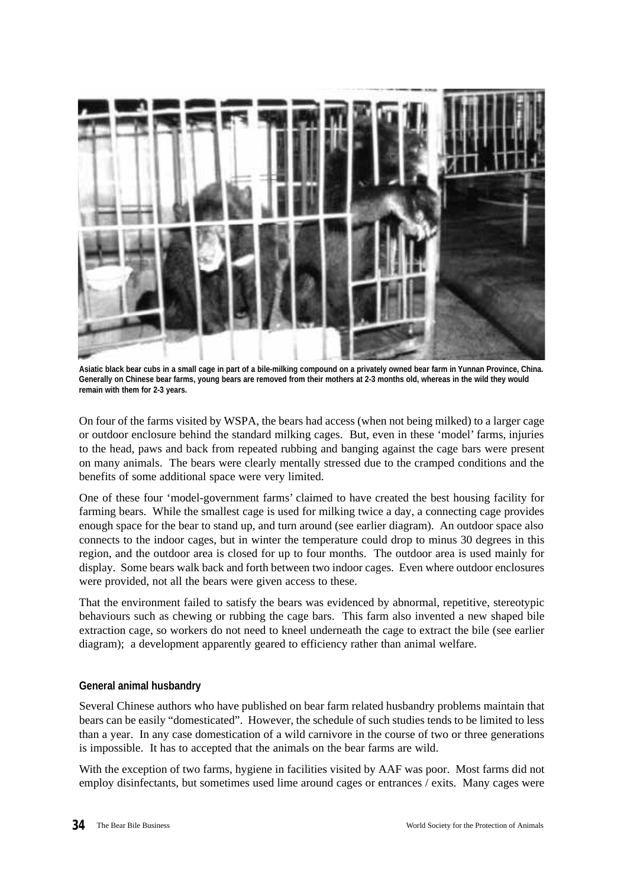

**Asiatic black bear cubs in a small cage in part of a bile-milking compound on a privately owned bear farm in Yunnan Province, China. Generally on Chinese bear farms, young bears are removed from their mothers at 2-3 months old, whereas in the wild they would remain with them for 2-3 years.**

On four of the farms visited by WSPA, the bears had access (when not being milked) to a larger cage or outdoor enclosure behind the standard milking cages. But, even in these 'model' farms, injuries to the head, paws and back from repeated rubbing and banging against the cage bars were present on many animals. The bears were clearly mentally stressed due to the cramped conditions and the benefits of some additional space were very limited.

One of these four 'model-government farms' claimed to have created the best housing facility for farming bears. While the smallest cage is used for milking twice a day, a connecting cage provides enough space for the bear to stand up, and turn around (see earlier diagram). An outdoor space also connects to the indoor cages, but in winter the temperature could drop to minus 30 degrees in this region, and the outdoor area is closed for up to four months. The outdoor area is used mainly for display. Some bears walk back and forth between two indoor cages. Even where outdoor enclosures were provided, not all the bears were given access to these.

That the environment failed to satisfy the bears was evidenced by abnormal, repetitive, stereotypic behaviours such as chewing or rubbing the cage bars. This farm also invented a new shaped bile extraction cage, so workers do not need to kneel underneath the cage to extract the bile (see earlier diagram); a development apparently geared to efficiency rather than animal welfare.

# **General animal husbandry**

Several Chinese authors who have published on bear farm related husbandry problems maintain that bears can be easily "domesticated". However, the schedule of such studies tends to be limited to less than a year. In any case domestication of a wild carnivore in the course of two or three generations is impossible. It has to accepted that the animals on the bear farms are wild.

With the exception of two farms, hygiene in facilities visited by AAF was poor. Most farms did not employ disinfectants, but sometimes used lime around cages or entrances / exits. Many cages were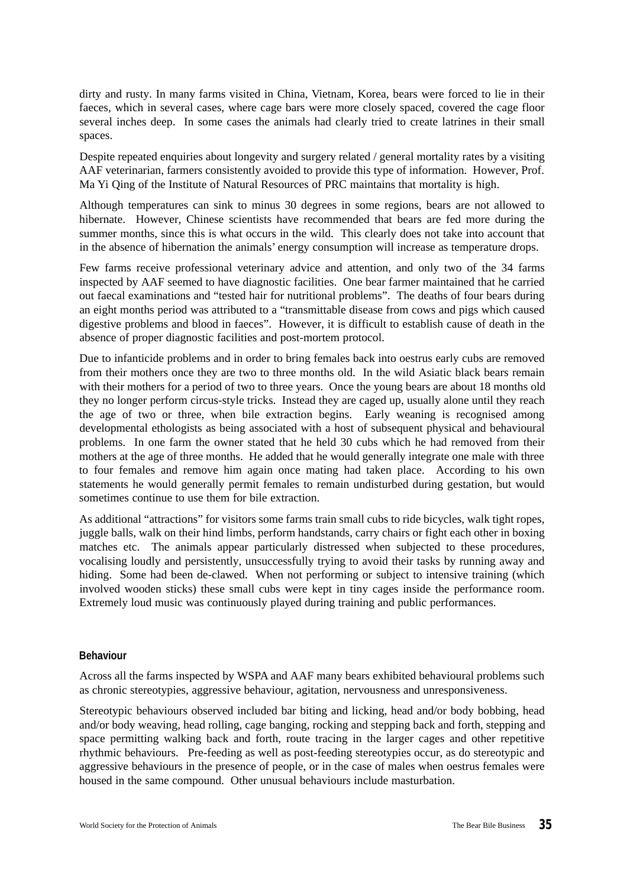dirty and rusty. In many farms visited in China, Vietnam, Korea, bears were forced to lie in their faeces, which in several cases, where cage bars were more closely spaced, covered the cage floor several inches deep. In some cases the animals had clearly tried to create latrines in their small spaces.

Despite repeated enquiries about longevity and surgery related / general mortality rates by a visiting AAF veterinarian, farmers consistently avoided to provide this type of information. However, Prof. Ma Yi Qing of the Institute of Natural Resources of PRC maintains that mortality is high.

Although temperatures can sink to minus 30 degrees in some regions, bears are not allowed to hibernate. However, Chinese scientists have recommended that bears are fed more during the summer months, since this is what occurs in the wild. This clearly does not take into account that in the absence of hibernation the animals' energy consumption will increase as temperature drops.

Few farms receive professional veterinary advice and attention, and only two of the 34 farms inspected by AAF seemed to have diagnostic facilities. One bear farmer maintained that he carried out faecal examinations and "tested hair for nutritional problems". The deaths of four bears during an eight months period was attributed to a "transmittable disease from cows and pigs which caused digestive problems and blood in faeces". However, it is difficult to establish cause of death in the absence of proper diagnostic facilities and post-mortem protocol.

Due to infanticide problems and in order to bring females back into oestrus early cubs are removed from their mothers once they are two to three months old. In the wild Asiatic black bears remain with their mothers for a period of two to three years. Once the young bears are about 18 months old they no longer perform circus-style tricks. Instead they are caged up, usually alone until they reach the age of two or three, when bile extraction begins. Early weaning is recognised among developmental ethologists as being associated with a host of subsequent physical and behavioural problems. In one farm the owner stated that he held 30 cubs which he had removed from their mothers at the age of three months. He added that he would generally integrate one male with three to four females and remove him again once mating had taken place. According to his own statements he would generally permit females to remain undisturbed during gestation, but would sometimes continue to use them for bile extraction.

As additional "attractions" for visitors some farms train small cubs to ride bicycles, walk tight ropes, juggle balls, walk on their hind limbs, perform handstands, carry chairs or fight each other in boxing matches etc. The animals appear particularly distressed when subjected to these procedures, vocalising loudly and persistently, unsuccessfully trying to avoid their tasks by running away and hiding. Some had been de-clawed. When not performing or subject to intensive training (which involved wooden sticks) these small cubs were kept in tiny cages inside the performance room. Extremely loud music was continuously played during training and public performances.

#### **Behaviour**

Across all the farms inspected by WSPA and AAF many bears exhibited behavioural problems such as chronic stereotypies, aggressive behaviour, agitation, nervousness and unresponsiveness.

Stereotypic behaviours observed included bar biting and licking, head and/or body bobbing, head and/or body weaving, head rolling, cage banging, rocking and stepping back and forth, stepping and space permitting walking back and forth, route tracing in the larger cages and other repetitive rhythmic behaviours. Pre-feeding as well as post-feeding stereotypies occur, as do stereotypic and aggressive behaviours in the presence of people, or in the case of males when oestrus females were housed in the same compound. Other unusual behaviours include masturbation.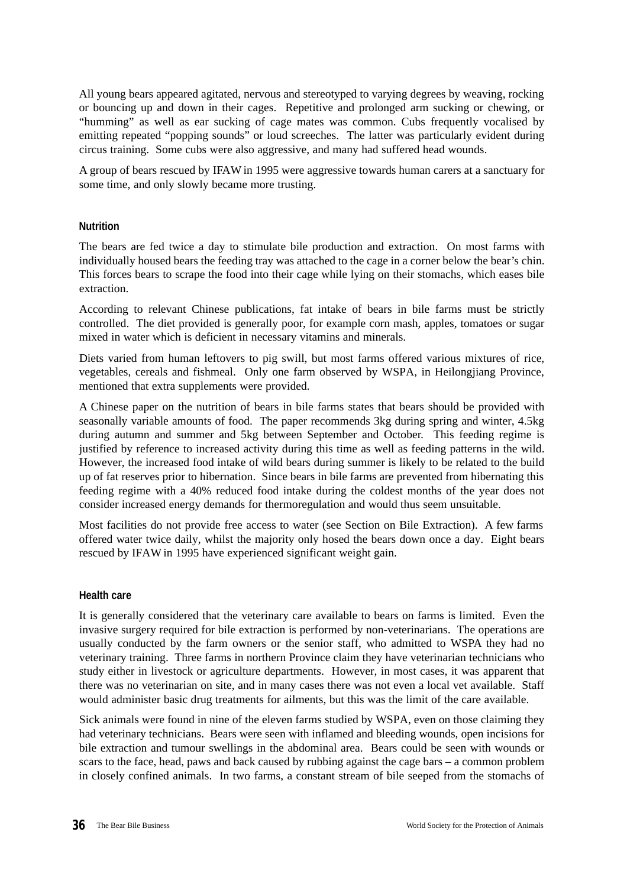All young bears appeared agitated, nervous and stereotyped to varying degrees by weaving, rocking or bouncing up and down in their cages. Repetitive and prolonged arm sucking or chewing, or "humming" as well as ear sucking of cage mates was common. Cubs frequently vocalised by emitting repeated "popping sounds" or loud screeches. The latter was particularly evident during circus training. Some cubs were also aggressive, and many had suffered head wounds.

A group of bears rescued by IFAW in 1995 were aggressive towards human carers at a sanctuary for some time, and only slowly became more trusting.

# **Nutrition**

The bears are fed twice a day to stimulate bile production and extraction. On most farms with individually housed bears the feeding tray was attached to the cage in a corner below the bear's chin. This forces bears to scrape the food into their cage while lying on their stomachs, which eases bile extraction.

According to relevant Chinese publications, fat intake of bears in bile farms must be strictly controlled. The diet provided is generally poor, for example corn mash, apples, tomatoes or sugar mixed in water which is deficient in necessary vitamins and minerals.

Diets varied from human leftovers to pig swill, but most farms offered various mixtures of rice, vegetables, cereals and fishmeal. Only one farm observed by WSPA, in Heilongjiang Province, mentioned that extra supplements were provided.

A Chinese paper on the nutrition of bears in bile farms states that bears should be provided with seasonally variable amounts of food. The paper recommends 3kg during spring and winter, 4.5kg during autumn and summer and 5kg between September and October. This feeding regime is justified by reference to increased activity during this time as well as feeding patterns in the wild. However, the increased food intake of wild bears during summer is likely to be related to the build up of fat reserves prior to hibernation. Since bears in bile farms are prevented from hibernating this feeding regime with a 40% reduced food intake during the coldest months of the year does not consider increased energy demands for thermoregulation and would thus seem unsuitable.

Most facilities do not provide free access to water (see Section on Bile Extraction). A few farms offered water twice daily, whilst the majority only hosed the bears down once a day. Eight bears rescued by IFAW in 1995 have experienced significant weight gain.

# **Health care**

It is generally considered that the veterinary care available to bears on farms is limited. Even the invasive surgery required for bile extraction is performed by non-veterinarians. The operations are usually conducted by the farm owners or the senior staff, who admitted to WSPA they had no veterinary training. Three farms in northern Province claim they have veterinarian technicians who study either in livestock or agriculture departments. However, in most cases, it was apparent that there was no veterinarian on site, and in many cases there was not even a local vet available. Staff would administer basic drug treatments for ailments, but this was the limit of the care available.

Sick animals were found in nine of the eleven farms studied by WSPA, even on those claiming they had veterinary technicians. Bears were seen with inflamed and bleeding wounds, open incisions for bile extraction and tumour swellings in the abdominal area. Bears could be seen with wounds or scars to the face, head, paws and back caused by rubbing against the cage bars – a common problem in closely confined animals. In two farms, a constant stream of bile seeped from the stomachs of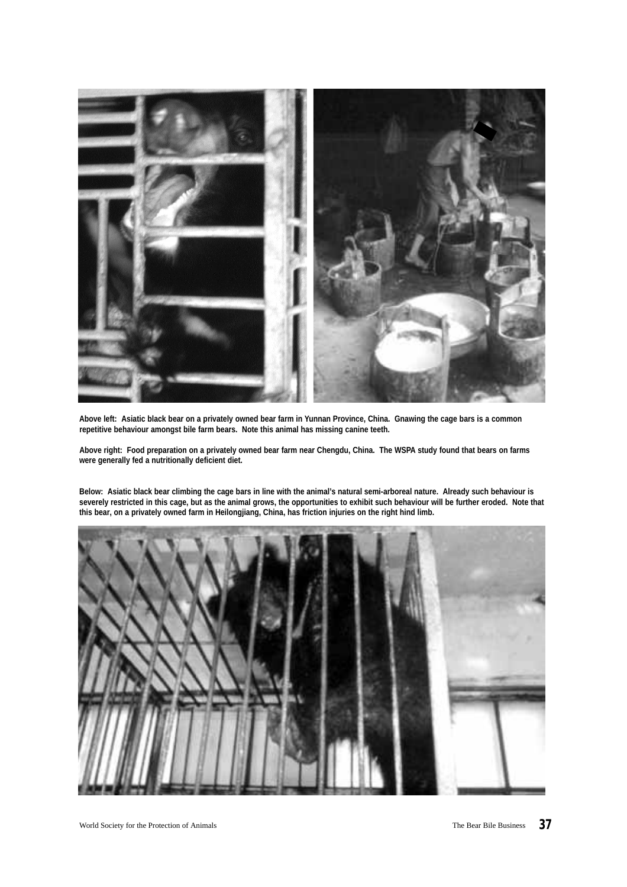

**Above left: Asiatic black bear on a privately owned bear farm in Yunnan Province, China. Gnawing the cage bars is a common repetitive behaviour amongst bile farm bears. Note this animal has missing canine teeth.** 

**Above right: Food preparation on a privately owned bear farm near Chengdu, China. The WSPA study found that bears on farms were generally fed a nutritionally deficient diet.** 

**Below: Asiatic black bear climbing the cage bars in line with the animal's natural semi-arboreal nature. Already such behaviour is severely restricted in this cage, but as the animal grows, the opportunities to exhibit such behaviour will be further eroded. Note that this bear, on a privately owned farm in Heilongjiang, China, has friction injuries on the right hind limb.**

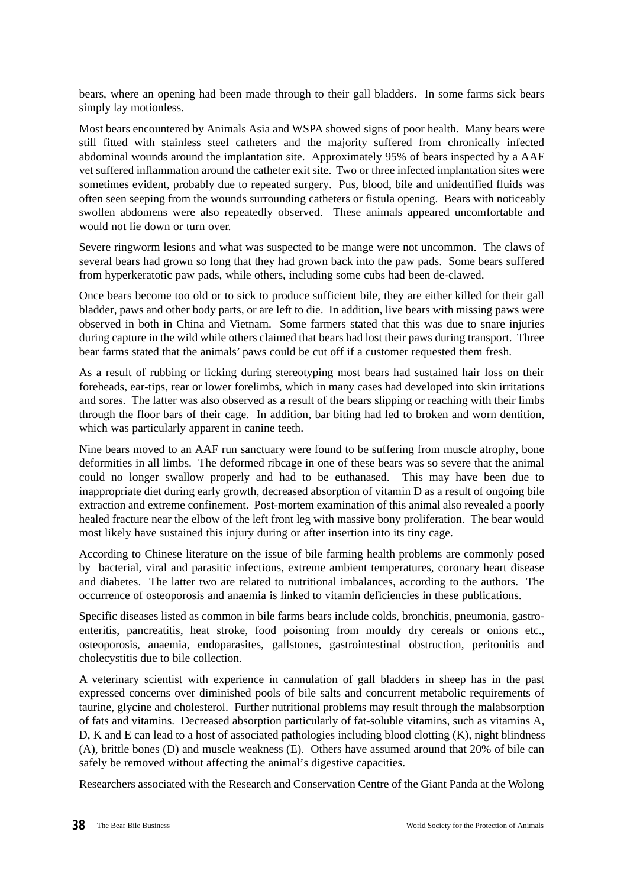bears, where an opening had been made through to their gall bladders. In some farms sick bears simply lay motionless.

Most bears encountered by Animals Asia and WSPA showed signs of poor health. Many bears were still fitted with stainless steel catheters and the majority suffered from chronically infected abdominal wounds around the implantation site. Approximately 95% of bears inspected by a AAF vet suffered inflammation around the catheter exit site. Two or three infected implantation sites were sometimes evident, probably due to repeated surgery. Pus, blood, bile and unidentified fluids was often seen seeping from the wounds surrounding catheters or fistula opening. Bears with noticeably swollen abdomens were also repeatedly observed. These animals appeared uncomfortable and would not lie down or turn over.

Severe ringworm lesions and what was suspected to be mange were not uncommon. The claws of several bears had grown so long that they had grown back into the paw pads. Some bears suffered from hyperkeratotic paw pads, while others, including some cubs had been de-clawed.

Once bears become too old or to sick to produce sufficient bile, they are either killed for their gall bladder, paws and other body parts, or are left to die. In addition, live bears with missing paws were observed in both in China and Vietnam. Some farmers stated that this was due to snare injuries during capture in the wild while others claimed that bears had lost their paws during transport. Three bear farms stated that the animals' paws could be cut off if a customer requested them fresh.

As a result of rubbing or licking during stereotyping most bears had sustained hair loss on their foreheads, ear-tips, rear or lower forelimbs, which in many cases had developed into skin irritations and sores. The latter was also observed as a result of the bears slipping or reaching with their limbs through the floor bars of their cage. In addition, bar biting had led to broken and worn dentition, which was particularly apparent in canine teeth.

Nine bears moved to an AAF run sanctuary were found to be suffering from muscle atrophy, bone deformities in all limbs. The deformed ribcage in one of these bears was so severe that the animal could no longer swallow properly and had to be euthanased. This may have been due to inappropriate diet during early growth, decreased absorption of vitamin D as a result of ongoing bile extraction and extreme confinement. Post-mortem examination of this animal also revealed a poorly healed fracture near the elbow of the left front leg with massive bony proliferation. The bear would most likely have sustained this injury during or after insertion into its tiny cage.

According to Chinese literature on the issue of bile farming health problems are commonly posed by bacterial, viral and parasitic infections, extreme ambient temperatures, coronary heart disease and diabetes. The latter two are related to nutritional imbalances, according to the authors. The occurrence of osteoporosis and anaemia is linked to vitamin deficiencies in these publications.

Specific diseases listed as common in bile farms bears include colds, bronchitis, pneumonia, gastroenteritis, pancreatitis, heat stroke, food poisoning from mouldy dry cereals or onions etc., osteoporosis, anaemia, endoparasites, gallstones, gastrointestinal obstruction, peritonitis and cholecystitis due to bile collection.

A veterinary scientist with experience in cannulation of gall bladders in sheep has in the past expressed concerns over diminished pools of bile salts and concurrent metabolic requirements of taurine, glycine and cholesterol. Further nutritional problems may result through the malabsorption of fats and vitamins. Decreased absorption particularly of fat-soluble vitamins, such as vitamins A, D, K and E can lead to a host of associated pathologies including blood clotting (K), night blindness (A), brittle bones (D) and muscle weakness (E). Others have assumed around that 20% of bile can safely be removed without affecting the animal's digestive capacities.

Researchers associated with the Research and Conservation Centre of the Giant Panda at the Wolong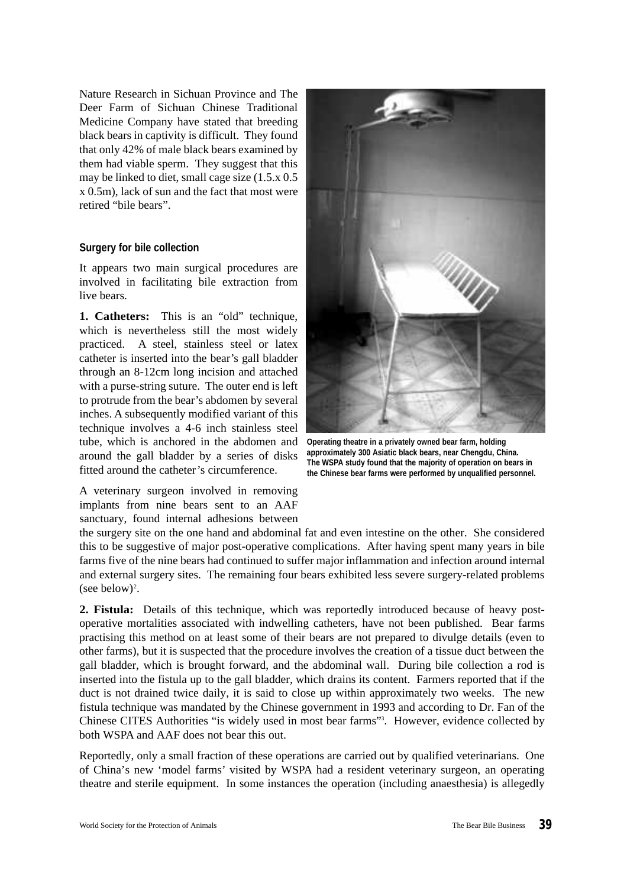Nature Research in Sichuan Province and The Deer Farm of Sichuan Chinese Traditional Medicine Company have stated that breeding black bears in captivity is difficult. They found that only 42% of male black bears examined by them had viable sperm. They suggest that this may be linked to diet, small cage size (1.5.x 0.5 x 0.5m), lack of sun and the fact that most were retired "bile bears".

#### **Surgery for bile collection**

It appears two main surgical procedures are involved in facilitating bile extraction from live bears.

**1. Catheters:** This is an "old" technique, which is nevertheless still the most widely practiced. A steel, stainless steel or latex catheter is inserted into the bear's gall bladder through an 8-12cm long incision and attached with a purse-string suture. The outer end is left to protrude from the bear's abdomen by several inches. A subsequently modified variant of this technique involves a 4-6 inch stainless steel tube, which is anchored in the abdomen and around the gall bladder by a series of disks fitted around the catheter's circumference.

A veterinary surgeon involved in removing implants from nine bears sent to an AAF sanctuary, found internal adhesions between



**Operating theatre in a privately owned bear farm, holding approximately 300 Asiatic black bears, near Chengdu, China. The WSPA study found that the majority of operation on bears in the Chinese bear farms were performed by unqualified personnel.**

the surgery site on the one hand and abdominal fat and even intestine on the other. She considered this to be suggestive of major post-operative complications. After having spent many years in bile farms five of the nine bears had continued to suffer major inflammation and infection around internal and external surgery sites. The remaining four bears exhibited less severe surgery-related problems (see below)<sup>2</sup>.

**2. Fistula:** Details of this technique, which was reportedly introduced because of heavy postoperative mortalities associated with indwelling catheters, have not been published. Bear farms practising this method on at least some of their bears are not prepared to divulge details (even to other farms), but it is suspected that the procedure involves the creation of a tissue duct between the gall bladder, which is brought forward, and the abdominal wall. During bile collection a rod is inserted into the fistula up to the gall bladder, which drains its content. Farmers reported that if the duct is not drained twice daily, it is said to close up within approximately two weeks. The new fistula technique was mandated by the Chinese government in 1993 and according to Dr. Fan of the Chinese CITES Authorities "is widely used in most bear farms"<sup>3</sup> . However, evidence collected by both WSPA and AAF does not bear this out.

Reportedly, only a small fraction of these operations are carried out by qualified veterinarians. One of China's new 'model farms' visited by WSPA had a resident veterinary surgeon, an operating theatre and sterile equipment. In some instances the operation (including anaesthesia) is allegedly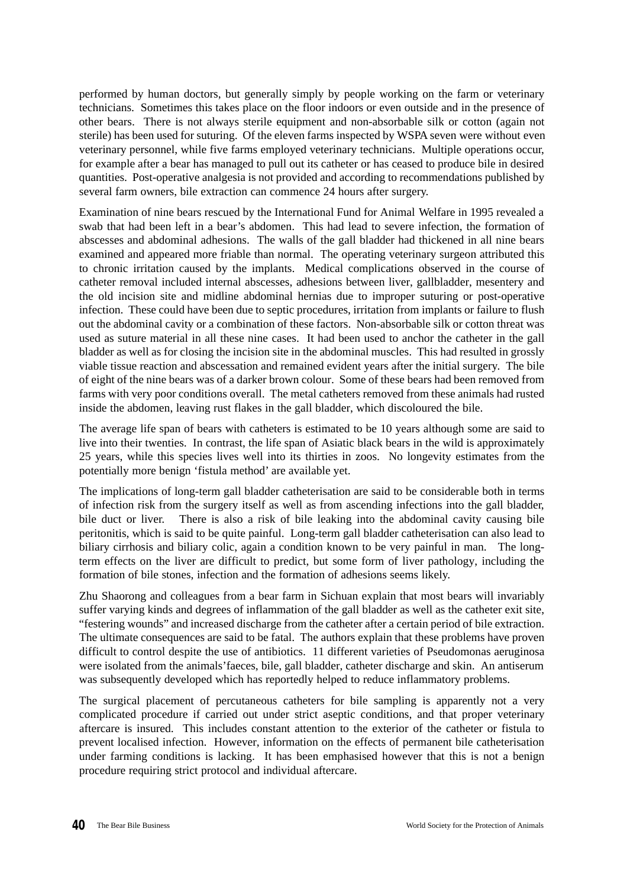performed by human doctors, but generally simply by people working on the farm or veterinary technicians. Sometimes this takes place on the floor indoors or even outside and in the presence of other bears. There is not always sterile equipment and non-absorbable silk or cotton (again not sterile) has been used for suturing. Of the eleven farms inspected by WSPA seven were without even veterinary personnel, while five farms employed veterinary technicians. Multiple operations occur, for example after a bear has managed to pull out its catheter or has ceased to produce bile in desired quantities. Post-operative analgesia is not provided and according to recommendations published by several farm owners, bile extraction can commence 24 hours after surgery.

Examination of nine bears rescued by the International Fund for Animal Welfare in 1995 revealed a swab that had been left in a bear's abdomen. This had lead to severe infection, the formation of abscesses and abdominal adhesions. The walls of the gall bladder had thickened in all nine bears examined and appeared more friable than normal. The operating veterinary surgeon attributed this to chronic irritation caused by the implants. Medical complications observed in the course of catheter removal included internal abscesses, adhesions between liver, gallbladder, mesentery and the old incision site and midline abdominal hernias due to improper suturing or post-operative infection. These could have been due to septic procedures, irritation from implants or failure to flush out the abdominal cavity or a combination of these factors. Non-absorbable silk or cotton threat was used as suture material in all these nine cases. It had been used to anchor the catheter in the gall bladder as well as for closing the incision site in the abdominal muscles. This had resulted in grossly viable tissue reaction and abscessation and remained evident years after the initial surgery. The bile of eight of the nine bears was of a darker brown colour. Some of these bears had been removed from farms with very poor conditions overall. The metal catheters removed from these animals had rusted inside the abdomen, leaving rust flakes in the gall bladder, which discoloured the bile.

The average life span of bears with catheters is estimated to be 10 years although some are said to live into their twenties. In contrast, the life span of Asiatic black bears in the wild is approximately 25 years, while this species lives well into its thirties in zoos. No longevity estimates from the potentially more benign 'fistula method' are available yet.

The implications of long-term gall bladder catheterisation are said to be considerable both in terms of infection risk from the surgery itself as well as from ascending infections into the gall bladder, bile duct or liver. There is also a risk of bile leaking into the abdominal cavity causing bile peritonitis, which is said to be quite painful. Long-term gall bladder catheterisation can also lead to biliary cirrhosis and biliary colic, again a condition known to be very painful in man. The longterm effects on the liver are difficult to predict, but some form of liver pathology, including the formation of bile stones, infection and the formation of adhesions seems likely.

Zhu Shaorong and colleagues from a bear farm in Sichuan explain that most bears will invariably suffer varying kinds and degrees of inflammation of the gall bladder as well as the catheter exit site, "festering wounds" and increased discharge from the catheter after a certain period of bile extraction. The ultimate consequences are said to be fatal. The authors explain that these problems have proven difficult to control despite the use of antibiotics. 11 different varieties of Pseudomonas aeruginosa were isolated from the animals'faeces, bile, gall bladder, catheter discharge and skin. An antiserum was subsequently developed which has reportedly helped to reduce inflammatory problems.

The surgical placement of percutaneous catheters for bile sampling is apparently not a very complicated procedure if carried out under strict aseptic conditions, and that proper veterinary aftercare is insured. This includes constant attention to the exterior of the catheter or fistula to prevent localised infection. However, information on the effects of permanent bile catheterisation under farming conditions is lacking. It has been emphasised however that this is not a benign procedure requiring strict protocol and individual aftercare.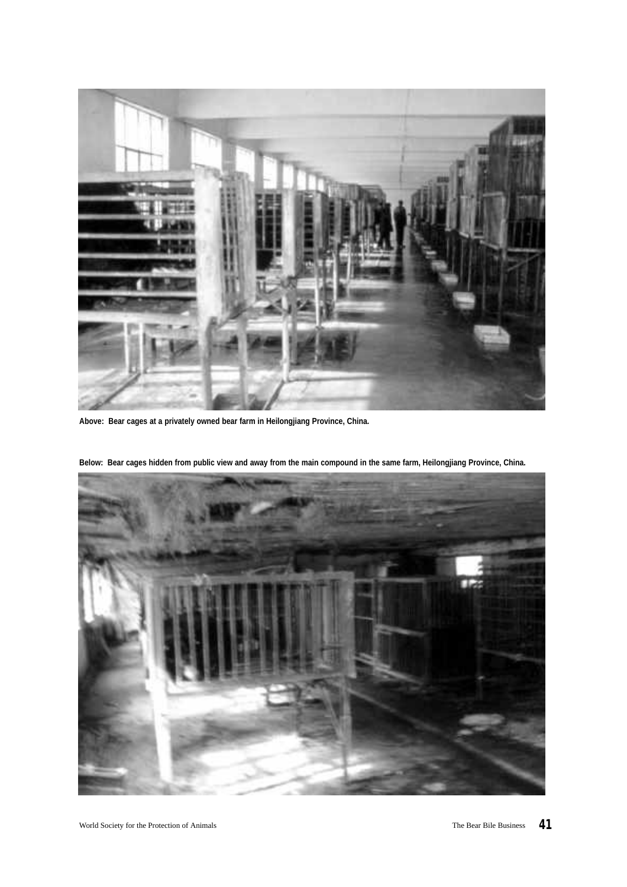

**Above: Bear cages at a privately owned bear farm in Heilongjiang Province, China.** 



**Below: Bear cages hidden from public view and away from the main compound in the same farm, Heilongjiang Province, China.**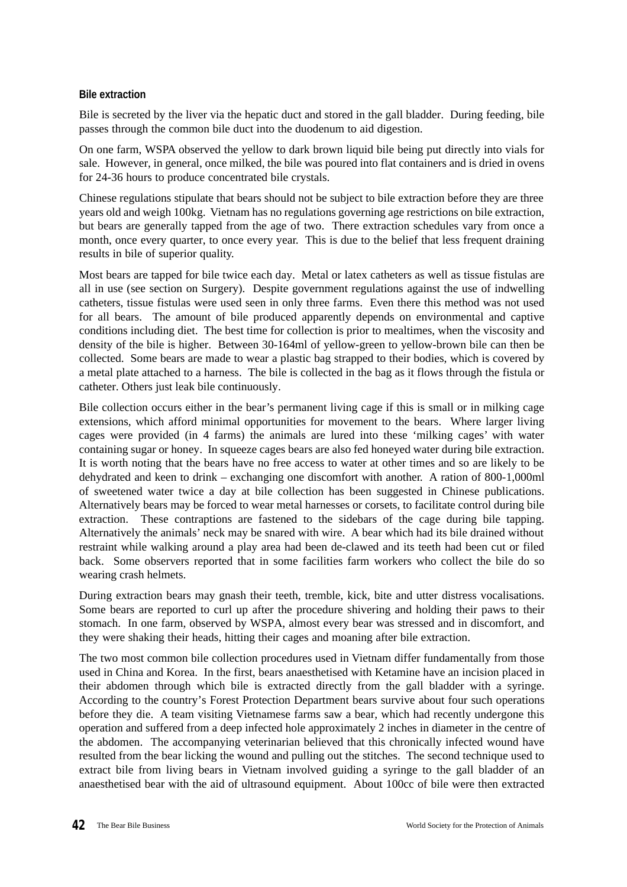# **Bile extraction**

Bile is secreted by the liver via the hepatic duct and stored in the gall bladder. During feeding, bile passes through the common bile duct into the duodenum to aid digestion.

On one farm, WSPA observed the yellow to dark brown liquid bile being put directly into vials for sale. However, in general, once milked, the bile was poured into flat containers and is dried in ovens for 24-36 hours to produce concentrated bile crystals.

Chinese regulations stipulate that bears should not be subject to bile extraction before they are three years old and weigh 100kg. Vietnam has no regulations governing age restrictions on bile extraction, but bears are generally tapped from the age of two. There extraction schedules vary from once a month, once every quarter, to once every year. This is due to the belief that less frequent draining results in bile of superior quality.

Most bears are tapped for bile twice each day. Metal or latex catheters as well as tissue fistulas are all in use (see section on Surgery). Despite government regulations against the use of indwelling catheters, tissue fistulas were used seen in only three farms. Even there this method was not used for all bears. The amount of bile produced apparently depends on environmental and captive conditions including diet. The best time for collection is prior to mealtimes, when the viscosity and density of the bile is higher. Between 30-164ml of yellow-green to yellow-brown bile can then be collected. Some bears are made to wear a plastic bag strapped to their bodies, which is covered by a metal plate attached to a harness. The bile is collected in the bag as it flows through the fistula or catheter. Others just leak bile continuously.

Bile collection occurs either in the bear's permanent living cage if this is small or in milking cage extensions, which afford minimal opportunities for movement to the bears. Where larger living cages were provided (in 4 farms) the animals are lured into these 'milking cages' with water containing sugar or honey. In squeeze cages bears are also fed honeyed water during bile extraction. It is worth noting that the bears have no free access to water at other times and so are likely to be dehydrated and keen to drink – exchanging one discomfort with another. A ration of 800-1,000ml of sweetened water twice a day at bile collection has been suggested in Chinese publications. Alternatively bears may be forced to wear metal harnesses or corsets, to facilitate control during bile extraction. These contraptions are fastened to the sidebars of the cage during bile tapping. Alternatively the animals' neck may be snared with wire. A bear which had its bile drained without restraint while walking around a play area had been de-clawed and its teeth had been cut or filed back. Some observers reported that in some facilities farm workers who collect the bile do so wearing crash helmets.

During extraction bears may gnash their teeth, tremble, kick, bite and utter distress vocalisations. Some bears are reported to curl up after the procedure shivering and holding their paws to their stomach. In one farm, observed by WSPA, almost every bear was stressed and in discomfort, and they were shaking their heads, hitting their cages and moaning after bile extraction.

The two most common bile collection procedures used in Vietnam differ fundamentally from those used in China and Korea. In the first, bears anaesthetised with Ketamine have an incision placed in their abdomen through which bile is extracted directly from the gall bladder with a syringe. According to the country's Forest Protection Department bears survive about four such operations before they die. A team visiting Vietnamese farms saw a bear, which had recently undergone this operation and suffered from a deep infected hole approximately 2 inches in diameter in the centre of the abdomen. The accompanying veterinarian believed that this chronically infected wound have resulted from the bear licking the wound and pulling out the stitches. The second technique used to extract bile from living bears in Vietnam involved guiding a syringe to the gall bladder of an anaesthetised bear with the aid of ultrasound equipment. About 100cc of bile were then extracted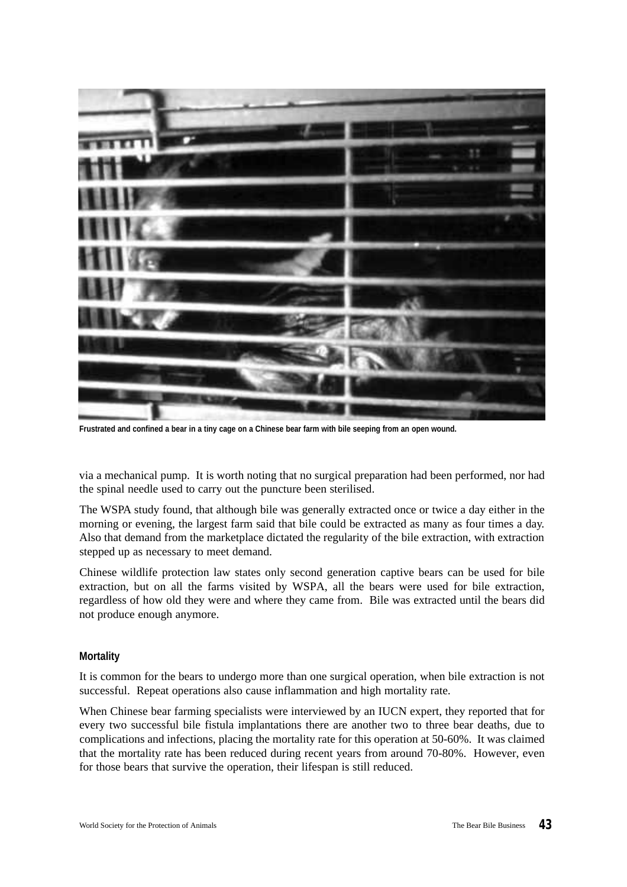

**Frustrated and confined a bear in a tiny cage on a Chinese bear farm with bile seeping from an open wound.**

via a mechanical pump. It is worth noting that no surgical preparation had been performed, nor had the spinal needle used to carry out the puncture been sterilised.

The WSPA study found, that although bile was generally extracted once or twice a day either in the morning or evening, the largest farm said that bile could be extracted as many as four times a day. Also that demand from the marketplace dictated the regularity of the bile extraction, with extraction stepped up as necessary to meet demand.

Chinese wildlife protection law states only second generation captive bears can be used for bile extraction, but on all the farms visited by WSPA, all the bears were used for bile extraction, regardless of how old they were and where they came from. Bile was extracted until the bears did not produce enough anymore.

#### **Mortality**

It is common for the bears to undergo more than one surgical operation, when bile extraction is not successful. Repeat operations also cause inflammation and high mortality rate.

When Chinese bear farming specialists were interviewed by an IUCN expert, they reported that for every two successful bile fistula implantations there are another two to three bear deaths, due to complications and infections, placing the mortality rate for this operation at 50-60%. It was claimed that the mortality rate has been reduced during recent years from around 70-80%. However, even for those bears that survive the operation, their lifespan is still reduced.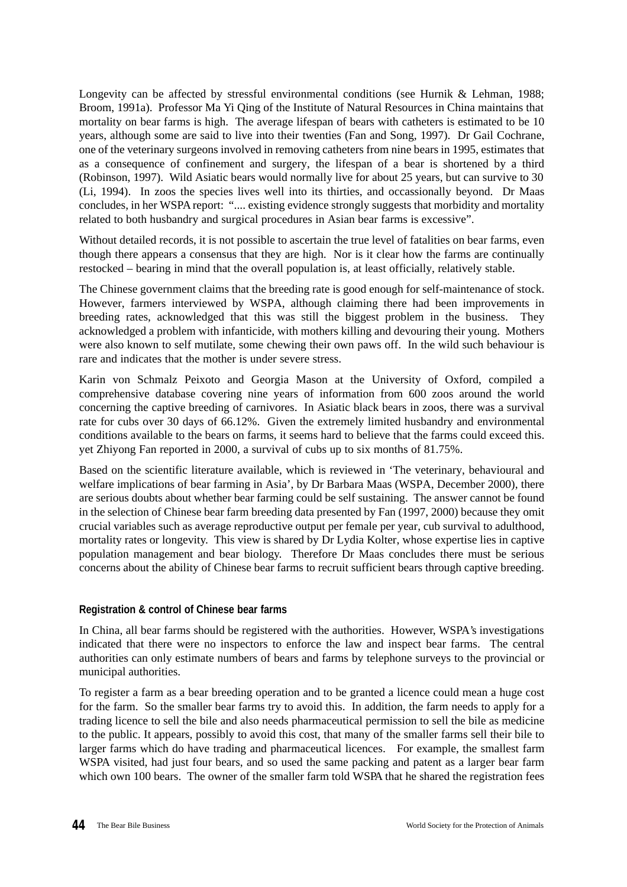Longevity can be affected by stressful environmental conditions (see Hurnik & Lehman, 1988; Broom, 1991a). Professor Ma Yi Qing of the Institute of Natural Resources in China maintains that mortality on bear farms is high. The average lifespan of bears with catheters is estimated to be 10 years, although some are said to live into their twenties (Fan and Song, 1997). Dr Gail Cochrane, one of the veterinary surgeons involved in removing catheters from nine bears in 1995, estimates that as a consequence of confinement and surgery, the lifespan of a bear is shortened by a third (Robinson, 1997). Wild Asiatic bears would normally live for about 25 years, but can survive to 30 (Li, 1994). In zoos the species lives well into its thirties, and occassionally beyond. Dr Maas concludes, in her WSPA report: ".... existing evidence strongly suggests that morbidity and mortality related to both husbandry and surgical procedures in Asian bear farms is excessive".

Without detailed records, it is not possible to ascertain the true level of fatalities on bear farms, even though there appears a consensus that they are high. Nor is it clear how the farms are continually restocked – bearing in mind that the overall population is, at least officially, relatively stable.

The Chinese government claims that the breeding rate is good enough for self-maintenance of stock. However, farmers interviewed by WSPA, although claiming there had been improvements in breeding rates, acknowledged that this was still the biggest problem in the business. They acknowledged a problem with infanticide, with mothers killing and devouring their young. Mothers were also known to self mutilate, some chewing their own paws off. In the wild such behaviour is rare and indicates that the mother is under severe stress.

Karin von Schmalz Peixoto and Georgia Mason at the University of Oxford, compiled a comprehensive database covering nine years of information from 600 zoos around the world concerning the captive breeding of carnivores. In Asiatic black bears in zoos, there was a survival rate for cubs over 30 days of 66.12%. Given the extremely limited husbandry and environmental conditions available to the bears on farms, it seems hard to believe that the farms could exceed this. yet Zhiyong Fan reported in 2000, a survival of cubs up to six months of 81.75%.

Based on the scientific literature available, which is reviewed in 'The veterinary, behavioural and welfare implications of bear farming in Asia', by Dr Barbara Maas (WSPA, December 2000), there are serious doubts about whether bear farming could be self sustaining. The answer cannot be found in the selection of Chinese bear farm breeding data presented by Fan (1997, 2000) because they omit crucial variables such as average reproductive output per female per year, cub survival to adulthood, mortality rates or longevity. This view is shared by Dr Lydia Kolter, whose expertise lies in captive population management and bear biology. Therefore Dr Maas concludes there must be serious concerns about the ability of Chinese bear farms to recruit sufficient bears through captive breeding.

# **Registration & control of Chinese bear farms**

In China, all bear farms should be registered with the authorities. However, WSPA's investigations indicated that there were no inspectors to enforce the law and inspect bear farms. The central authorities can only estimate numbers of bears and farms by telephone surveys to the provincial or municipal authorities.

To register a farm as a bear breeding operation and to be granted a licence could mean a huge cost for the farm. So the smaller bear farms try to avoid this. In addition, the farm needs to apply for a trading licence to sell the bile and also needs pharmaceutical permission to sell the bile as medicine to the public. It appears, possibly to avoid this cost, that many of the smaller farms sell their bile to larger farms which do have trading and pharmaceutical licences. For example, the smallest farm WSPA visited, had just four bears, and so used the same packing and patent as a larger bear farm which own 100 bears. The owner of the smaller farm told WSPA that he shared the registration fees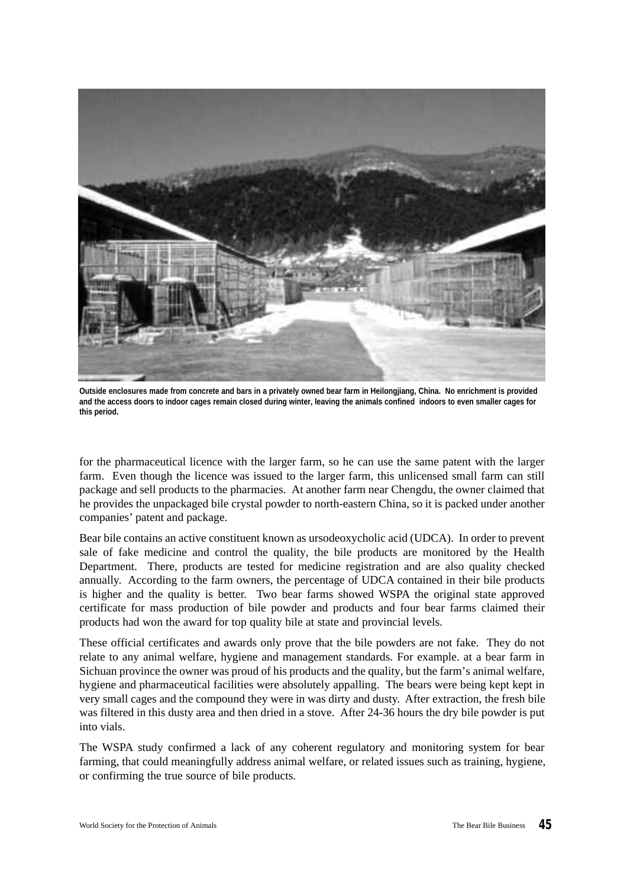

**Outside enclosures made from concrete and bars in a privately owned bear farm in Heilongjiang, China. No enrichment is provided and the access doors to indoor cages remain closed during winter, leaving the animals confined indoors to even smaller cages for this period.**

for the pharmaceutical licence with the larger farm, so he can use the same patent with the larger farm. Even though the licence was issued to the larger farm, this unlicensed small farm can still package and sell products to the pharmacies. At another farm near Chengdu, the owner claimed that he provides the unpackaged bile crystal powder to north-eastern China, so it is packed under another companies' patent and package.

Bear bile contains an active constituent known as ursodeoxycholic acid (UDCA). In order to prevent sale of fake medicine and control the quality, the bile products are monitored by the Health Department. There, products are tested for medicine registration and are also quality checked annually. According to the farm owners, the percentage of UDCA contained in their bile products is higher and the quality is better. Two bear farms showed WSPA the original state approved certificate for mass production of bile powder and products and four bear farms claimed their products had won the award for top quality bile at state and provincial levels.

These official certificates and awards only prove that the bile powders are not fake. They do not relate to any animal welfare, hygiene and management standards. For example. at a bear farm in Sichuan province the owner was proud of his products and the quality, but the farm's animal welfare, hygiene and pharmaceutical facilities were absolutely appalling. The bears were being kept kept in very small cages and the compound they were in was dirty and dusty. After extraction, the fresh bile was filtered in this dusty area and then dried in a stove. After 24-36 hours the dry bile powder is put into vials.

The WSPA study confirmed a lack of any coherent regulatory and monitoring system for bear farming, that could meaningfully address animal welfare, or related issues such as training, hygiene, or confirming the true source of bile products.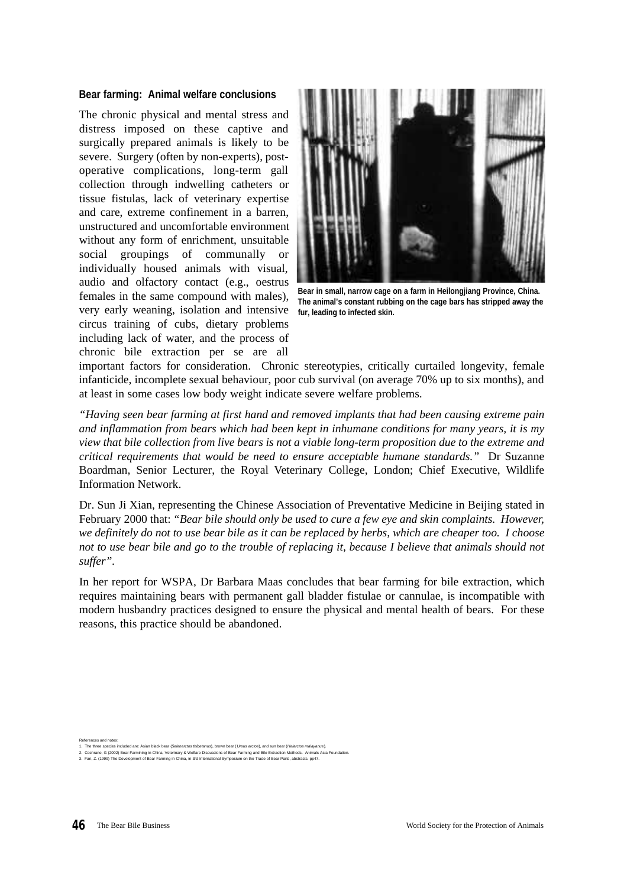#### **Bear farming: Animal welfare conclusions**

The chronic physical and mental stress and distress imposed on these captive and surgically prepared animals is likely to be severe. Surgery (often by non-experts), postoperative complications, long-term gall collection through indwelling catheters or tissue fistulas, lack of veterinary expertise and care, extreme confinement in a barren, unstructured and uncomfortable environment without any form of enrichment, unsuitable social groupings of communally or individually housed animals with visual, audio and olfactory contact (e.g., oestrus females in the same compound with males), very early weaning, isolation and intensive circus training of cubs, dietary problems including lack of water, and the process of chronic bile extraction per se are all



**Bear in small, narrow cage on a farm in Heilongjiang Province, China. The animal's constant rubbing on the cage bars has stripped away the fur, leading to infected skin.**

important factors for consideration. Chronic stereotypies, critically curtailed longevity, female infanticide, incomplete sexual behaviour, poor cub survival (on average 70% up to six months), and at least in some cases low body weight indicate severe welfare problems.

*"Having seen bear farming at first hand and removed implants that had been causing extreme pain and inflammation from bears which had been kept in inhumane conditions for many years, it is my view that bile collection from live bears is not a viable long-term proposition due to the extreme and critical requirements that would be need to ensure acceptable humane standards."* Dr Suzanne Boardman, Senior Lecturer, the Royal Veterinary College, London; Chief Executive, Wildlife Information Network.

Dr. Sun Ji Xian, representing the Chinese Association of Preventative Medicine in Beijing stated in February 2000 that: *"Bear bile should only be used to cure a few eye and skin complaints. However, we definitely do not to use bear bile as it can be replaced by herbs, which are cheaper too. I choose not to use bear bile and go to the trouble of replacing it, because I believe that animals should not suffer".*

In her report for WSPA, Dr Barbara Maas concludes that bear farming for bile extraction, which requires maintaining bears with permanent gall bladder fistulae or cannulae, is incompatible with modern husbandry practices designed to ensure the physical and mental health of bears. For these reasons, this practice should be abandoned.

References and notes:

<sup>1.</sup> The three species included are: Asian black bear (*Selenarctos thibetanus*), brown bear ( *Ursus arctos*), and sun bear (*Helarctos malayanus*).

<sup>2.</sup> Cochrane, G (2002) Bear Farmining in China, Veterinary & Welfare Discussions of Bear Farming and Bile Extraction Methods. Animals Asia Foundation.<br>3. Fan, Z. (1999) The Development of Bear Farming in China, in 3rd In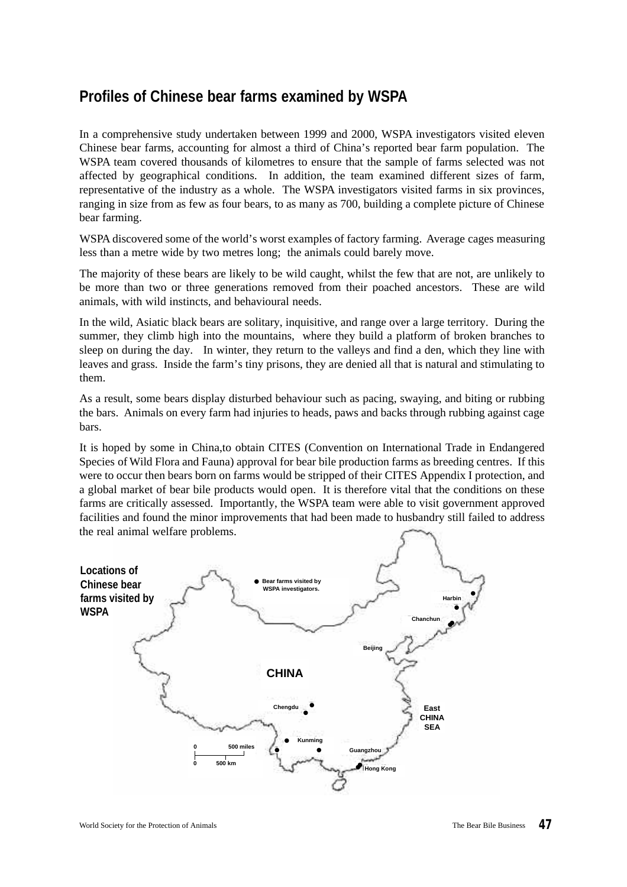# **Profiles of Chinese bear farms examined by WSPA**

In a comprehensive study undertaken between 1999 and 2000, WSPA investigators visited eleven Chinese bear farms, accounting for almost a third of China's reported bear farm population. The WSPA team covered thousands of kilometres to ensure that the sample of farms selected was not affected by geographical conditions. In addition, the team examined different sizes of farm, representative of the industry as a whole. The WSPA investigators visited farms in six provinces, ranging in size from as few as four bears, to as many as 700, building a complete picture of Chinese bear farming.

WSPA discovered some of the world's worst examples of factory farming. Average cages measuring less than a metre wide by two metres long; the animals could barely move.

The majority of these bears are likely to be wild caught, whilst the few that are not, are unlikely to be more than two or three generations removed from their poached ancestors. These are wild animals, with wild instincts, and behavioural needs.

In the wild, Asiatic black bears are solitary, inquisitive, and range over a large territory. During the summer, they climb high into the mountains, where they build a platform of broken branches to sleep on during the day. In winter, they return to the valleys and find a den, which they line with leaves and grass. Inside the farm's tiny prisons, they are denied all that is natural and stimulating to them.

As a result, some bears display disturbed behaviour such as pacing, swaying, and biting or rubbing the bars. Animals on every farm had injuries to heads, paws and backs through rubbing against cage bars.

It is hoped by some in China,to obtain CITES (Convention on International Trade in Endangered Species of Wild Flora and Fauna) approval for bear bile production farms as breeding centres. If this were to occur then bears born on farms would be stripped of their CITES Appendix I protection, and a global market of bear bile products would open. It is therefore vital that the conditions on these farms are critically assessed. Importantly, the WSPA team were able to visit government approved facilities and found the minor improvements that had been made to husbandry still failed to address the real animal welfare problems.

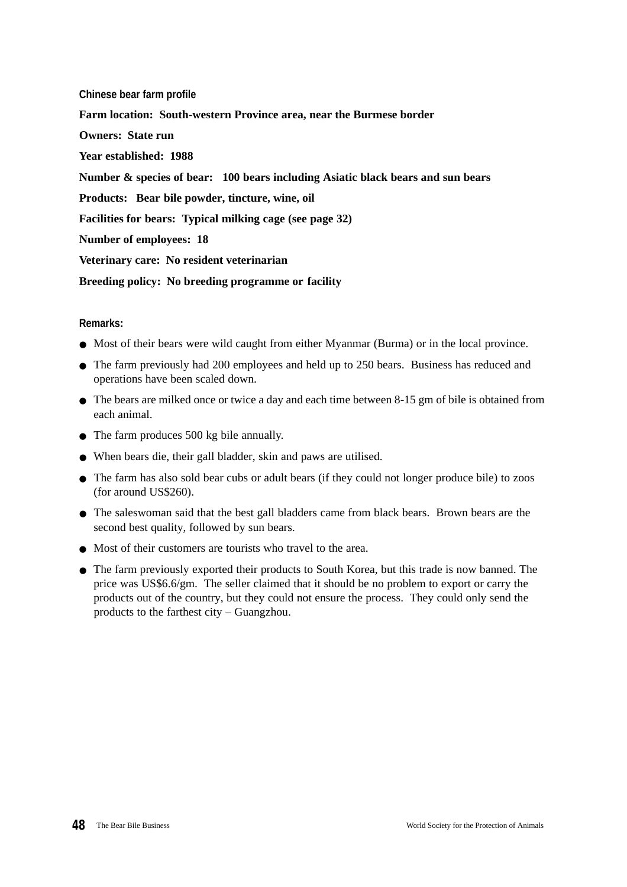**Chinese bear farm profile Farm location: South-western Province area, near the Burmese border Owners: State run Year established: 1988 Number & species of bear: 100 bears including Asiatic black bears and sun bears Products: Bear bile powder, tincture, wine, oil Facilities for bears: Typical milking cage (see page 32) Number of employees: 18 Veterinary care: No resident veterinarian Breeding policy: No breeding programme or facility** 

- Most of their bears were wild caught from either Myanmar (Burma) or in the local province.
- The farm previously had 200 employees and held up to 250 bears. Business has reduced and operations have been scaled down.
- The bears are milked once or twice a day and each time between 8-15 gm of bile is obtained from each animal.
- The farm produces 500 kg bile annually.
- When bears die, their gall bladder, skin and paws are utilised.
- The farm has also sold bear cubs or adult bears (if they could not longer produce bile) to zoos (for around US\$260).
- The saleswoman said that the best gall bladders came from black bears. Brown bears are the second best quality, followed by sun bears.
- Most of their customers are tourists who travel to the area.
- The farm previously exported their products to South Korea, but this trade is now banned. The price was US\$6.6/gm. The seller claimed that it should be no problem to export or carry the products out of the country, but they could not ensure the process. They could only send the products to the farthest city – Guangzhou.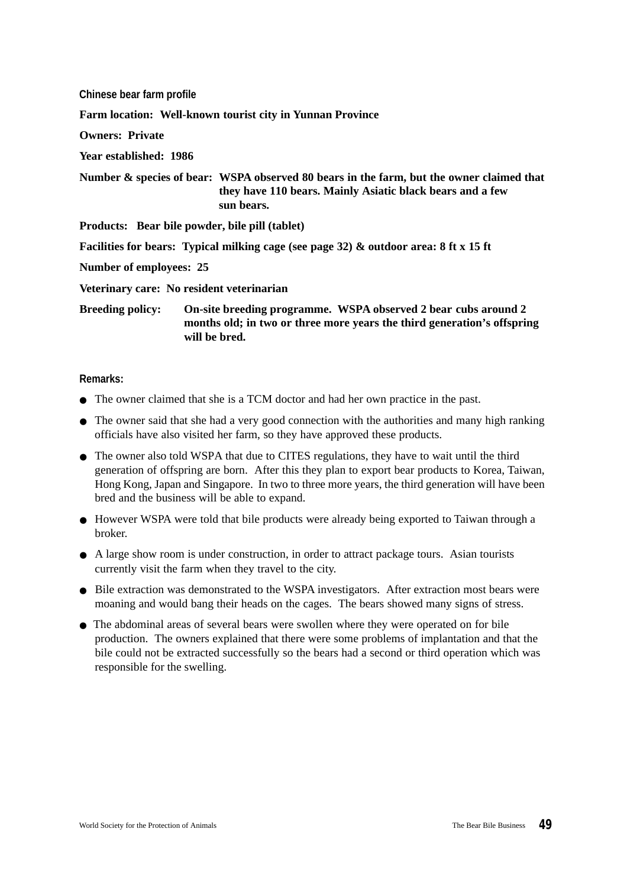| Chinese bear farm profile      |                                                                                                                                                                     |
|--------------------------------|---------------------------------------------------------------------------------------------------------------------------------------------------------------------|
|                                | Farm location: Well-known tourist city in Yunnan Province                                                                                                           |
| <b>Owners: Private</b>         |                                                                                                                                                                     |
| Year established: 1986         |                                                                                                                                                                     |
|                                | Number & species of bear: WSPA observed 80 bears in the farm, but the owner claimed that<br>they have 110 bears. Mainly Asiatic black bears and a few<br>sun bears. |
|                                | Products: Bear bile powder, bile pill (tablet)                                                                                                                      |
|                                | Facilities for bears: Typical milking cage (see page 32) & outdoor area: 8 ft x 15 ft                                                                               |
| <b>Number of employees: 25</b> |                                                                                                                                                                     |
|                                | Veterinary care: No resident veterinarian                                                                                                                           |
| <b>Breeding policy:</b>        | On-site breeding programme. WSPA observed 2 bear cubs around 2<br>months old; in two or three more years the third generation's offspring                           |

#### **Remarks:**

● The owner claimed that she is a TCM doctor and had her own practice in the past.

**will be bred.**

- The owner said that she had a very good connection with the authorities and many high ranking officials have also visited her farm, so they have approved these products.
- The owner also told WSPA that due to CITES regulations, they have to wait until the third generation of offspring are born. After this they plan to export bear products to Korea, Taiwan, Hong Kong, Japan and Singapore. In two to three more years, the third generation will have been bred and the business will be able to expand.
- However WSPA were told that bile products were already being exported to Taiwan through a broker.
- A large show room is under construction, in order to attract package tours. Asian tourists currently visit the farm when they travel to the city.
- Bile extraction was demonstrated to the WSPA investigators. After extraction most bears were moaning and would bang their heads on the cages. The bears showed many signs of stress.
- The abdominal areas of several bears were swollen where they were operated on for bile production. The owners explained that there were some problems of implantation and that the bile could not be extracted successfully so the bears had a second or third operation which was responsible for the swelling.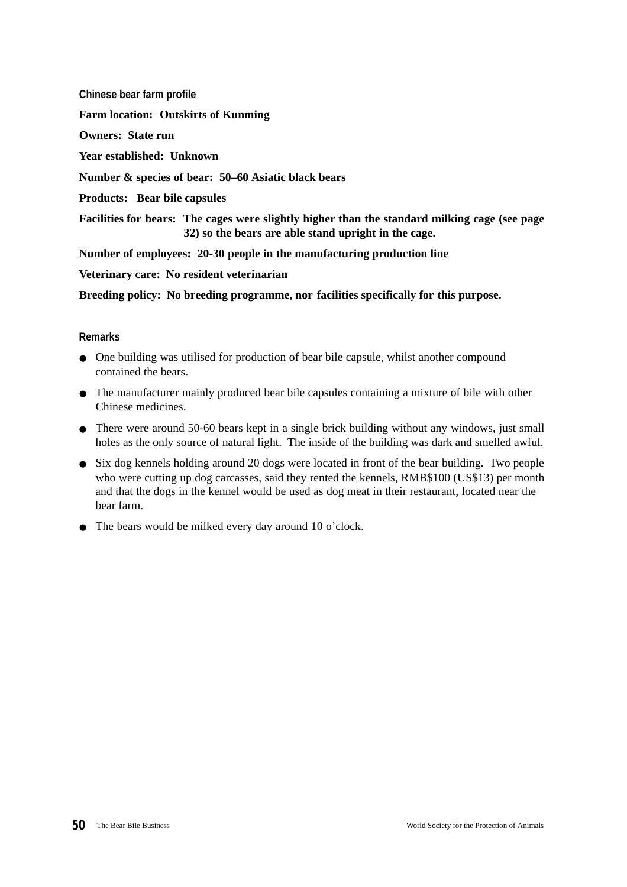**Chinese bear farm profile Farm location: Outskirts of Kunming Owners: State run Year established: Unknown Number & species of bear: 50–60 Asiatic black bears Products: Bear bile capsules Facilities for bears: The cages were slightly higher than the standard milking cage (see page 32) so the bears are able stand upright in the cage. Number of employees: 20-30 people in the manufacturing production line Veterinary care: No resident veterinarian**

**Breeding policy: No breeding programme, nor facilities specifically for this purpose.**

- One building was utilised for production of bear bile capsule, whilst another compound contained the bears.
- The manufacturer mainly produced bear bile capsules containing a mixture of bile with other Chinese medicines.
- There were around 50-60 bears kept in a single brick building without any windows, just small holes as the only source of natural light. The inside of the building was dark and smelled awful.
- Six dog kennels holding around 20 dogs were located in front of the bear building. Two people who were cutting up dog carcasses, said they rented the kennels, RMB\$100 (US\$13) per month and that the dogs in the kennel would be used as dog meat in their restaurant, located near the bear farm.
- The bears would be milked every day around 10 o'clock.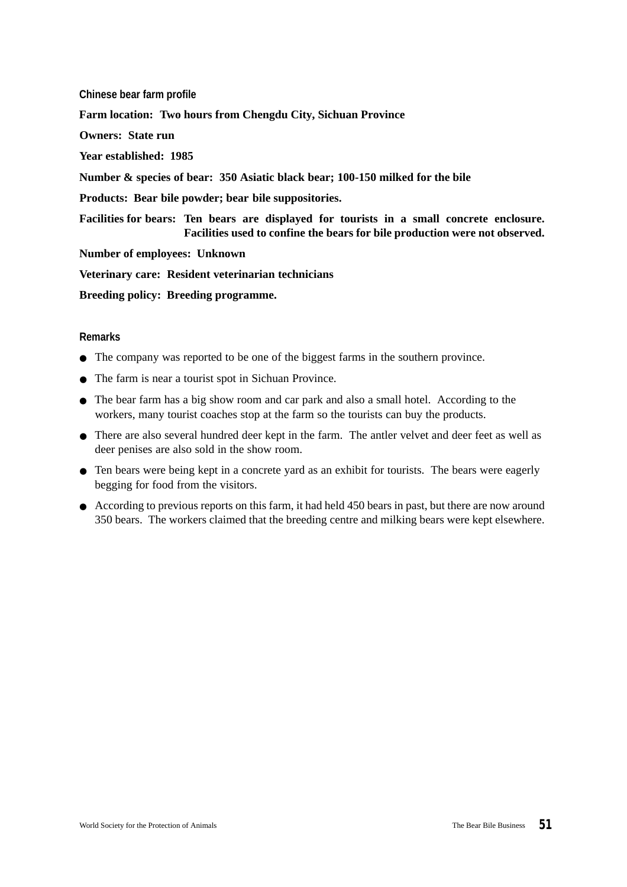**Chinese bear farm profile Farm location: Two hours from Chengdu City, Sichuan Province Owners: State run Year established: 1985 Number & species of bear: 350 Asiatic black bear; 100-150 milked for the bile Products: Bear bile powder; bear bile suppositories. Facilities for bears: Ten bears are displayed for tourists in a small concrete enclosure. Facilities used to confine the bears for bile production were not observed. Number of employees: Unknown Veterinary care: Resident veterinarian technicians Breeding policy: Breeding programme.**

- The company was reported to be one of the biggest farms in the southern province.
- The farm is near a tourist spot in Sichuan Province.
- The bear farm has a big show room and car park and also a small hotel. According to the workers, many tourist coaches stop at the farm so the tourists can buy the products.
- There are also several hundred deer kept in the farm. The antler velvet and deer feet as well as deer penises are also sold in the show room.
- Ten bears were being kept in a concrete yard as an exhibit for tourists. The bears were eagerly begging for food from the visitors.
- According to previous reports on this farm, it had held 450 bears in past, but there are now around 350 bears. The workers claimed that the breeding centre and milking bears were kept elsewhere.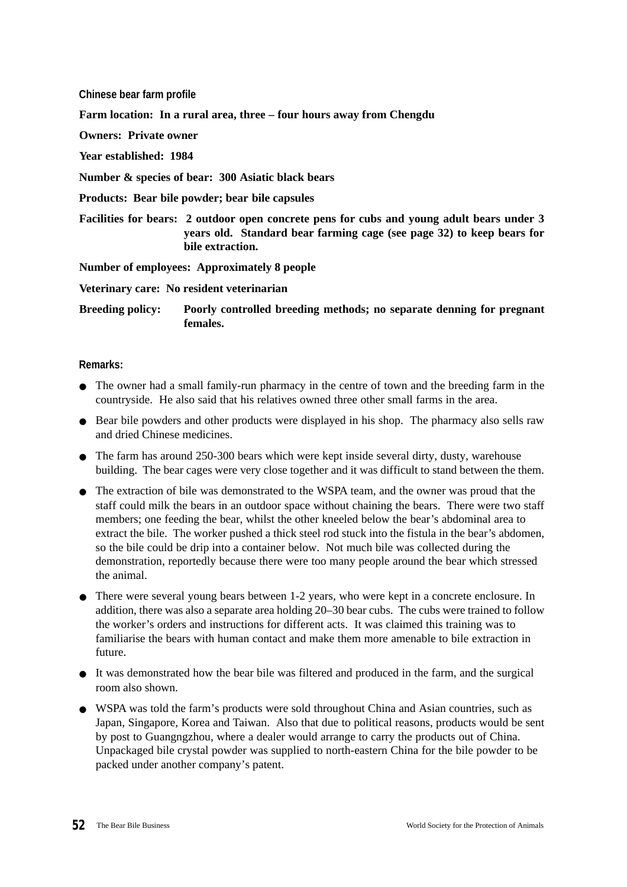**Chinese bear farm profile Farm location: In a rural area, three – four hours away from Chengdu Owners: Private owner Year established: 1984 Number & species of bear: 300 Asiatic black bears Products: Bear bile powder; bear bile capsules Facilities for bears: 2 outdoor open concrete pens for cubs and young adult bears under 3 years old. Standard bear farming cage (see page 32) to keep bears for bile extraction. Number of employees: Approximately 8 people**

**Veterinary care: No resident veterinarian**

**Breeding policy: Poorly controlled breeding methods; no separate denning for pregnant females.**

- The owner had a small family-run pharmacy in the centre of town and the breeding farm in the countryside. He also said that his relatives owned three other small farms in the area.
- Bear bile powders and other products were displayed in his shop. The pharmacy also sells raw and dried Chinese medicines.
- The farm has around 250-300 bears which were kept inside several dirty, dusty, warehouse building. The bear cages were very close together and it was difficult to stand between the them.
- The extraction of bile was demonstrated to the WSPA team, and the owner was proud that the staff could milk the bears in an outdoor space without chaining the bears. There were two staff members; one feeding the bear, whilst the other kneeled below the bear's abdominal area to extract the bile. The worker pushed a thick steel rod stuck into the fistula in the bear's abdomen, so the bile could be drip into a container below. Not much bile was collected during the demonstration, reportedly because there were too many people around the bear which stressed the animal.
- There were several young bears between 1-2 years, who were kept in a concrete enclosure. In addition, there was also a separate area holding 20–30 bear cubs. The cubs were trained to follow the worker's orders and instructions for different acts. It was claimed this training was to familiarise the bears with human contact and make them more amenable to bile extraction in future.
- It was demonstrated how the bear bile was filtered and produced in the farm, and the surgical room also shown.
- WSPA was told the farm's products were sold throughout China and Asian countries, such as Japan, Singapore, Korea and Taiwan. Also that due to political reasons, products would be sent by post to Guangngzhou, where a dealer would arrange to carry the products out of China. Unpackaged bile crystal powder was supplied to north-eastern China for the bile powder to be packed under another company's patent.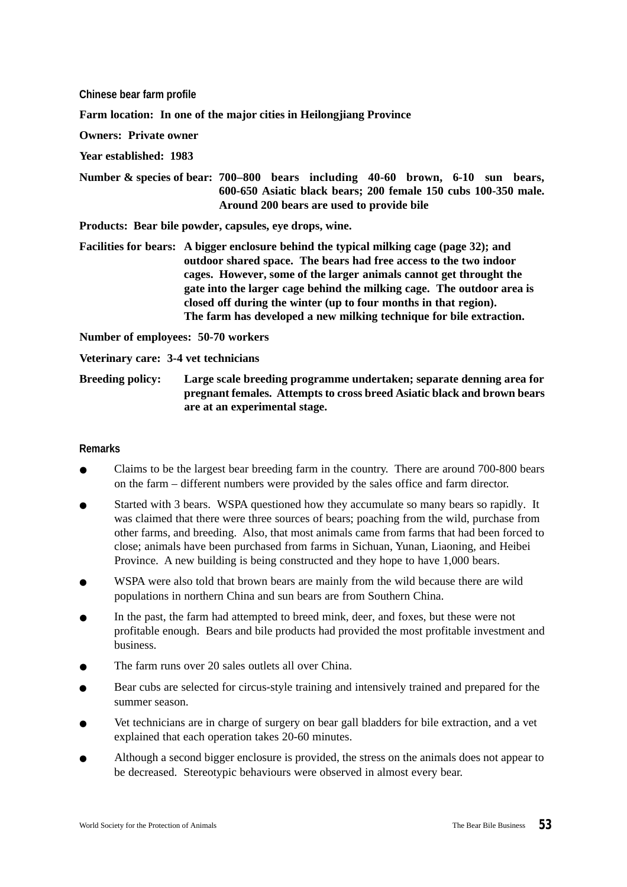**Chinese bear farm profile**

**Farm location: In one of the major cities in Heilongjiang Province**

**Owners: Private owner**

**Year established: 1983**

**Number & species of bear: 700–800 bears including 40-60 brown, 6-10 sun bears, 600-650 Asiatic black bears; 200 female 150 cubs 100-350 male. Around 200 bears are used to provide bile**

**Products: Bear bile powder, capsules, eye drops, wine.**

**Facilities for bears: A bigger enclosure behind the typical milking cage (page 32); and outdoor shared space. The bears had free access to the two indoor cages. However, some of the larger animals cannot get throught the gate into the larger cage behind the milking cage. The outdoor area is closed off during the winter (up to four months in that region). The farm has developed a new milking technique for bile extraction.**

**Number of employees: 50-70 workers**

**Veterinary care: 3-4 vet technicians**

**Breeding policy: Large scale breeding programme undertaken; separate denning area for pregnant females. Attempts to cross breed Asiatic black and brown bears are at an experimental stage.**

- Claims to be the largest bear breeding farm in the country. There are around 700-800 bears on the farm – different numbers were provided by the sales office and farm director.
- Started with 3 bears. WSPA questioned how they accumulate so many bears so rapidly. It was claimed that there were three sources of bears; poaching from the wild, purchase from other farms, and breeding. Also, that most animals came from farms that had been forced to close; animals have been purchased from farms in Sichuan, Yunan, Liaoning, and Heibei Province. A new building is being constructed and they hope to have 1,000 bears.
- WSPA were also told that brown bears are mainly from the wild because there are wild populations in northern China and sun bears are from Southern China.
- In the past, the farm had attempted to breed mink, deer, and foxes, but these were not profitable enough. Bears and bile products had provided the most profitable investment and business.
- The farm runs over 20 sales outlets all over China.
- Bear cubs are selected for circus-style training and intensively trained and prepared for the summer season.
- Vet technicians are in charge of surgery on bear gall bladders for bile extraction, and a vet explained that each operation takes 20-60 minutes.
- Although a second bigger enclosure is provided, the stress on the animals does not appear to be decreased. Stereotypic behaviours were observed in almost every bear.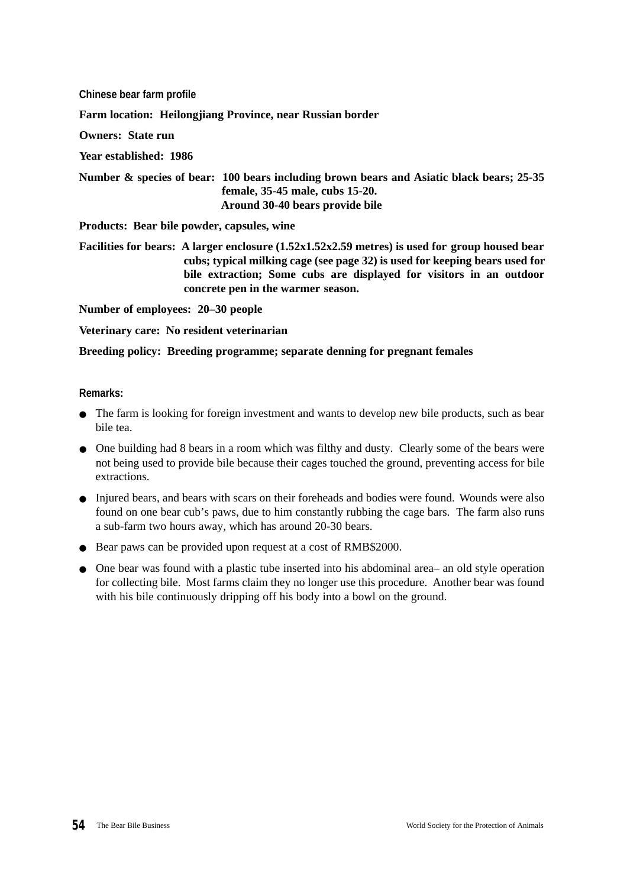**Chinese bear farm profile Farm location: Heilongjiang Province, near Russian border Owners: State run Year established: 1986 Number & species of bear: 100 bears including brown bears and Asiatic black bears; 25-35 female, 35-45 male, cubs 15-20. Around 30-40 bears provide bile Products: Bear bile powder, capsules, wine Facilities for bears: A larger enclosure (1.52x1.52x2.59 metres) is used for group housed bear cubs; typical milking cage (see page 32) is used for keeping bears used for**

**bile extraction; Some cubs are displayed for visitors in an outdoor**

**Number of employees: 20–30 people**

**Veterinary care: No resident veterinarian**

**Breeding policy: Breeding programme; separate denning for pregnant females**

**concrete pen in the warmer season.**

- The farm is looking for foreign investment and wants to develop new bile products, such as bear bile tea.
- One building had 8 bears in a room which was filthy and dusty. Clearly some of the bears were not being used to provide bile because their cages touched the ground, preventing access for bile extractions.
- Injured bears, and bears with scars on their foreheads and bodies were found. Wounds were also found on one bear cub's paws, due to him constantly rubbing the cage bars. The farm also runs a sub-farm two hours away, which has around 20-30 bears.
- Bear paws can be provided upon request at a cost of RMB\$2000.
- One bear was found with a plastic tube inserted into his abdominal area– an old style operation for collecting bile. Most farms claim they no longer use this procedure. Another bear was found with his bile continuously dripping off his body into a bowl on the ground.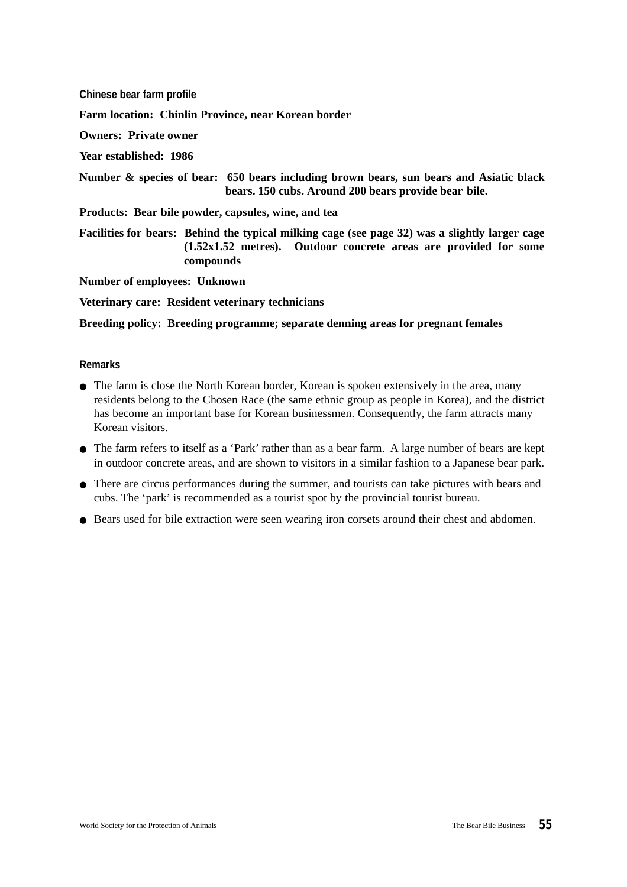**Chinese bear farm profile**

**Farm location: Chinlin Province, near Korean border**

**Owners: Private owner**

**Year established: 1986**

**Number & species of bear: 650 bears including brown bears, sun bears and Asiatic black bears. 150 cubs. Around 200 bears provide bear bile.**

**Products: Bear bile powder, capsules, wine, and tea**

**Facilities for bears: Behind the typical milking cage (see page 32) was a slightly larger cage (1.52x1.52 metres). Outdoor concrete areas are provided for some compounds**

**Number of employees: Unknown**

**Veterinary care: Resident veterinary technicians**

**Breeding policy: Breeding programme; separate denning areas for pregnant females** 

- The farm is close the North Korean border, Korean is spoken extensively in the area, many residents belong to the Chosen Race (the same ethnic group as people in Korea), and the district has become an important base for Korean businessmen. Consequently, the farm attracts many Korean visitors.
- The farm refers to itself as a 'Park' rather than as a bear farm. A large number of bears are kept in outdoor concrete areas, and are shown to visitors in a similar fashion to a Japanese bear park.
- There are circus performances during the summer, and tourists can take pictures with bears and cubs. The 'park' is recommended as a tourist spot by the provincial tourist bureau.
- Bears used for bile extraction were seen wearing iron corsets around their chest and abdomen.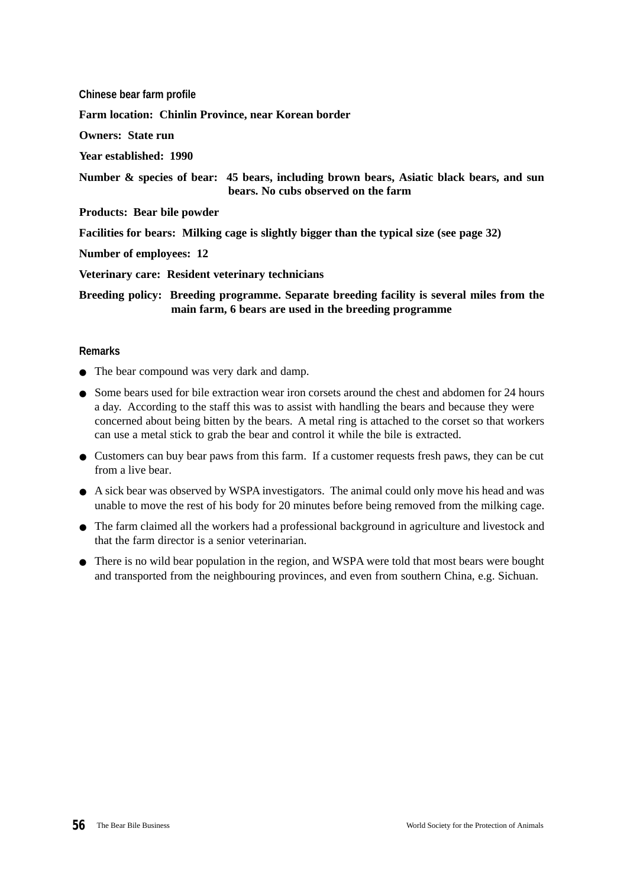**Chinese bear farm profile Farm location: Chinlin Province, near Korean border Owners: State run Year established: 1990 Number & species of bear: 45 bears, including brown bears, Asiatic black bears, and sun bears. No cubs observed on the farm Products: Bear bile powder Facilities for bears: Milking cage is slightly bigger than the typical size (see page 32) Number of employees: 12 Veterinary care: Resident veterinary technicians Breeding policy: Breeding programme. Separate breeding facility is several miles from the main farm, 6 bears are used in the breeding programme**

- The bear compound was very dark and damp.
- Some bears used for bile extraction wear iron corsets around the chest and abdomen for 24 hours a day. According to the staff this was to assist with handling the bears and because they were concerned about being bitten by the bears. A metal ring is attached to the corset so that workers can use a metal stick to grab the bear and control it while the bile is extracted.
- Customers can buy bear paws from this farm. If a customer requests fresh paws, they can be cut from a live bear.
- A sick bear was observed by WSPA investigators. The animal could only move his head and was unable to move the rest of his body for 20 minutes before being removed from the milking cage.
- The farm claimed all the workers had a professional background in agriculture and livestock and that the farm director is a senior veterinarian.
- There is no wild bear population in the region, and WSPA were told that most bears were bought and transported from the neighbouring provinces, and even from southern China, e.g. Sichuan.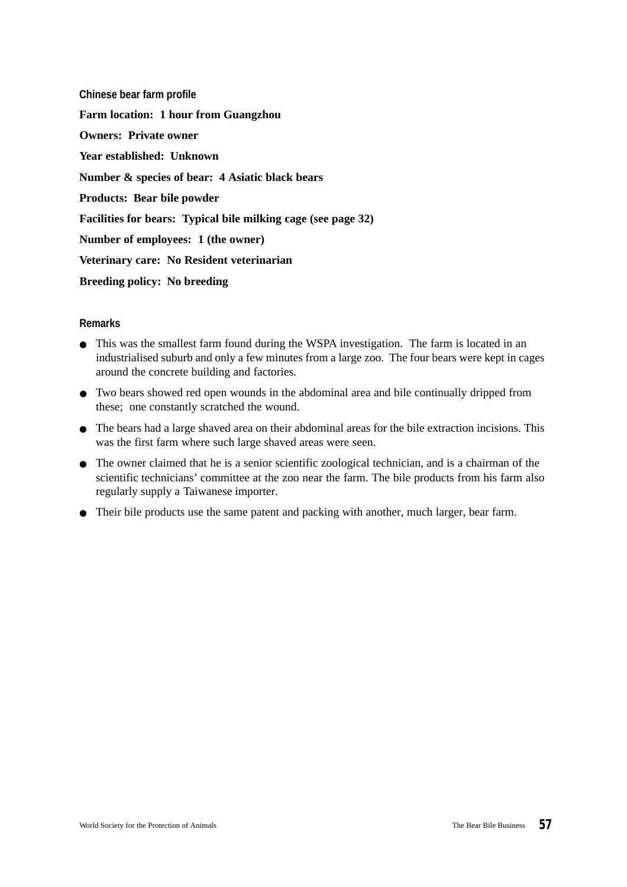**Chinese bear farm profile Farm location: 1 hour from Guangzhou Owners: Private owner Year established: Unknown Number & species of bear: 4 Asiatic black bears Products: Bear bile powder Facilities for bears: Typical bile milking cage (see page 32) Number of employees: 1 (the owner) Veterinary care: No Resident veterinarian Breeding policy: No breeding**

- This was the smallest farm found during the WSPA investigation. The farm is located in an industrialised suburb and only a few minutes from a large zoo. The four bears were kept in cages around the concrete building and factories.
- Two bears showed red open wounds in the abdominal area and bile continually dripped from these; one constantly scratched the wound.
- The bears had a large shaved area on their abdominal areas for the bile extraction incisions. This was the first farm where such large shaved areas were seen.
- The owner claimed that he is a senior scientific zoological technician, and is a chairman of the scientific technicians' committee at the zoo near the farm. The bile products from his farm also regularly supply a Taiwanese importer.
- Their bile products use the same patent and packing with another, much larger, bear farm.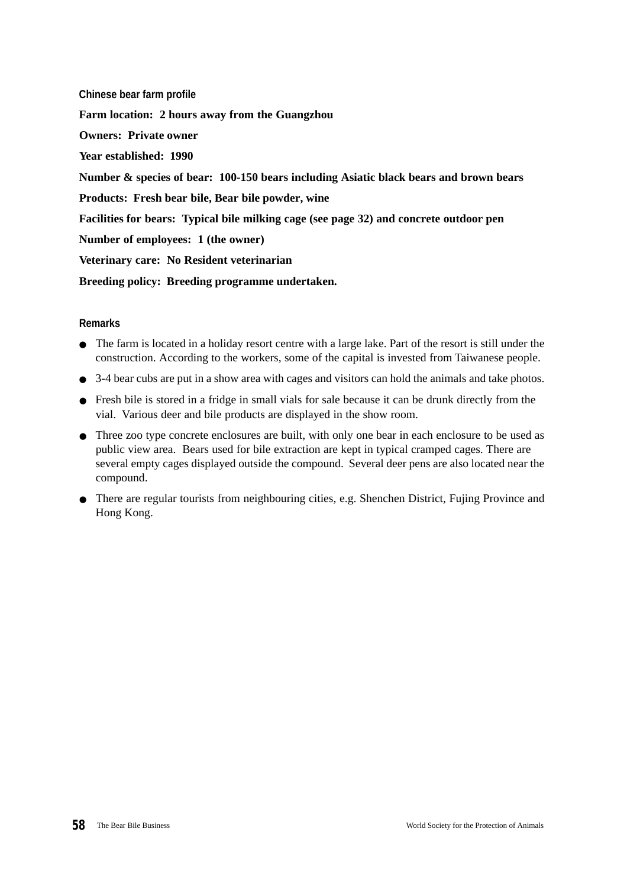**Chinese bear farm profile Farm location: 2 hours away from the Guangzhou Owners: Private owner Year established: 1990 Number & species of bear: 100-150 bears including Asiatic black bears and brown bears Products: Fresh bear bile, Bear bile powder, wine Facilities for bears: Typical bile milking cage (see page 32) and concrete outdoor pen Number of employees: 1 (the owner) Veterinary care: No Resident veterinarian Breeding policy: Breeding programme undertaken.**

- The farm is located in a holiday resort centre with a large lake. Part of the resort is still under the construction. According to the workers, some of the capital is invested from Taiwanese people.
- 3-4 bear cubs are put in a show area with cages and visitors can hold the animals and take photos.
- Fresh bile is stored in a fridge in small vials for sale because it can be drunk directly from the vial. Various deer and bile products are displayed in the show room.
- Three zoo type concrete enclosures are built, with only one bear in each enclosure to be used as public view area. Bears used for bile extraction are kept in typical cramped cages. There are several empty cages displayed outside the compound. Several deer pens are also located near the compound.
- There are regular tourists from neighbouring cities, e.g. Shenchen District, Fujing Province and Hong Kong.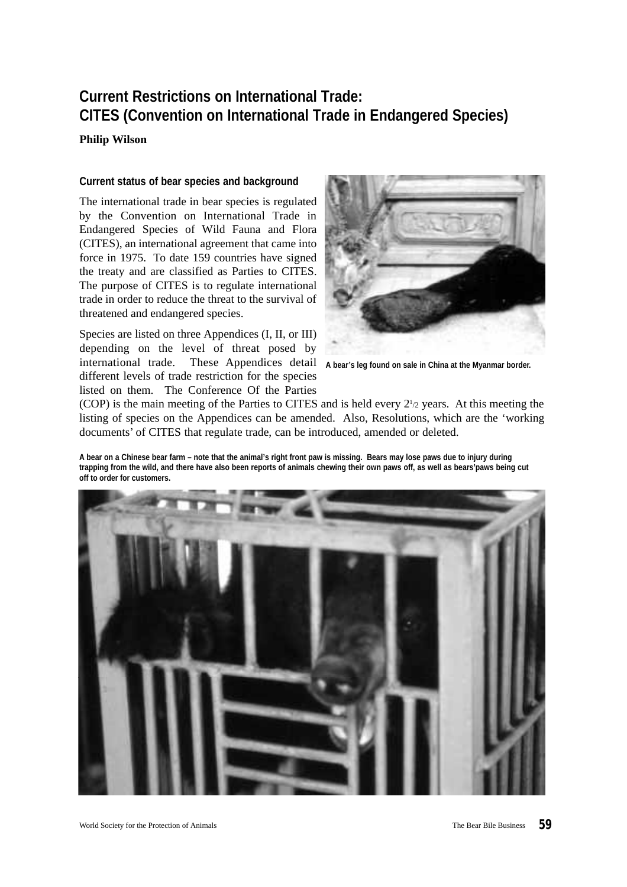# **Current Restrictions on International Trade: CITES (Convention on International Trade in Endangered Species)**

**Philip Wilson**

#### **Current status of bear species and background**

The international trade in bear species is regulated by the Convention on International Trade in Endangered Species of Wild Fauna and Flora (CITES), an international agreement that came into force in 1975. To date 159 countries have signed the treaty and are classified as Parties to CITES. The purpose of CITES is to regulate international trade in order to reduce the threat to the survival of threatened and endangered species.

Species are listed on three Appendices (I, II, or III) depending on the level of threat posed by international trade. These Appendices detail different levels of trade restriction for the species listed on them. The Conference Of the Parties



**A bear's leg found on sale in China at the Myanmar border.**

(COP) is the main meeting of the Parties to CITES and is held every  $2<sup>1</sup>/2$  years. At this meeting the listing of species on the Appendices can be amended. Also, Resolutions, which are the 'working documents' of CITES that regulate trade, can be introduced, amended or deleted.

**A bear on a Chinese bear farm – note that the animal's right front paw is missing. Bears may lose paws due to injury during trapping from the wild, and there have also been reports of animals chewing their own paws off, as well as bears'paws being cut off to order for customers.**

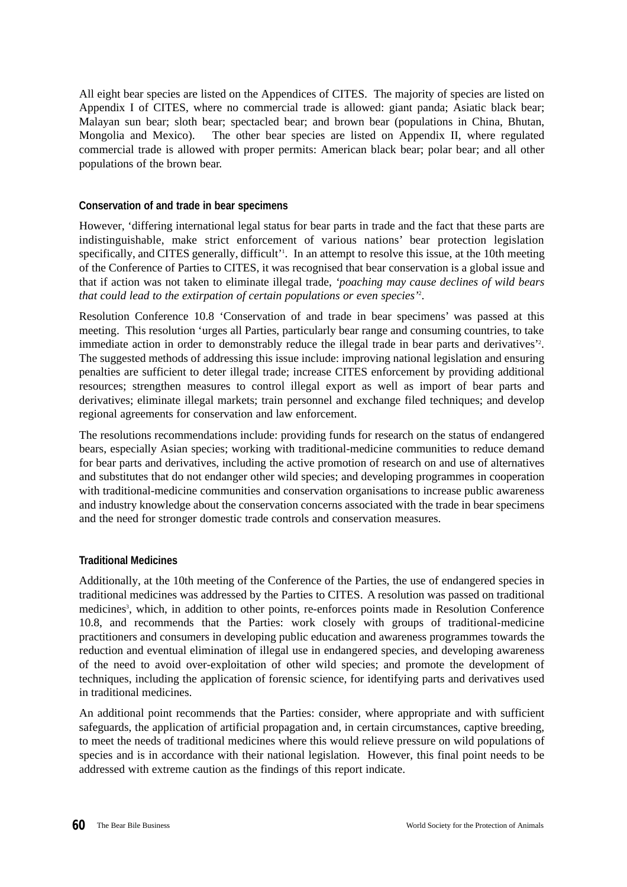All eight bear species are listed on the Appendices of CITES. The majority of species are listed on Appendix I of CITES, where no commercial trade is allowed: giant panda; Asiatic black bear; Malayan sun bear; sloth bear; spectacled bear; and brown bear (populations in China, Bhutan, Mongolia and Mexico). The other bear species are listed on Appendix II, where regulated commercial trade is allowed with proper permits: American black bear; polar bear; and all other populations of the brown bear.

# **Conservation of and trade in bear specimens**

However, 'differing international legal status for bear parts in trade and the fact that these parts are indistinguishable, make strict enforcement of various nations' bear protection legislation specifically, and CITES generally, difficult'<sup>1</sup>. In an attempt to resolve this issue, at the 10th meeting of the Conference of Parties to CITES, it was recognised that bear conservation is a global issue and that if action was not taken to eliminate illegal trade, *'poaching may cause declines of wild bears that could lead to the extirpation of certain populations or even species'*<sup>2</sup> .

Resolution Conference 10.8 'Conservation of and trade in bear specimens' was passed at this meeting. This resolution 'urges all Parties, particularly bear range and consuming countries, to take immediate action in order to demonstrably reduce the illegal trade in bear parts and derivatives'<sup>2</sup>. The suggested methods of addressing this issue include: improving national legislation and ensuring penalties are sufficient to deter illegal trade; increase CITES enforcement by providing additional resources; strengthen measures to control illegal export as well as import of bear parts and derivatives; eliminate illegal markets; train personnel and exchange filed techniques; and develop regional agreements for conservation and law enforcement.

The resolutions recommendations include: providing funds for research on the status of endangered bears, especially Asian species; working with traditional-medicine communities to reduce demand for bear parts and derivatives, including the active promotion of research on and use of alternatives and substitutes that do not endanger other wild species; and developing programmes in cooperation with traditional-medicine communities and conservation organisations to increase public awareness and industry knowledge about the conservation concerns associated with the trade in bear specimens and the need for stronger domestic trade controls and conservation measures.

# **Traditional Medicines**

Additionally, at the 10th meeting of the Conference of the Parties, the use of endangered species in traditional medicines was addressed by the Parties to CITES. A resolution was passed on traditional medicines<sup>3</sup>, which, in addition to other points, re-enforces points made in Resolution Conference 10.8, and recommends that the Parties: work closely with groups of traditional-medicine practitioners and consumers in developing public education and awareness programmes towards the reduction and eventual elimination of illegal use in endangered species, and developing awareness of the need to avoid over-exploitation of other wild species; and promote the development of techniques, including the application of forensic science, for identifying parts and derivatives used in traditional medicines.

An additional point recommends that the Parties: consider, where appropriate and with sufficient safeguards, the application of artificial propagation and, in certain circumstances, captive breeding, to meet the needs of traditional medicines where this would relieve pressure on wild populations of species and is in accordance with their national legislation. However, this final point needs to be addressed with extreme caution as the findings of this report indicate.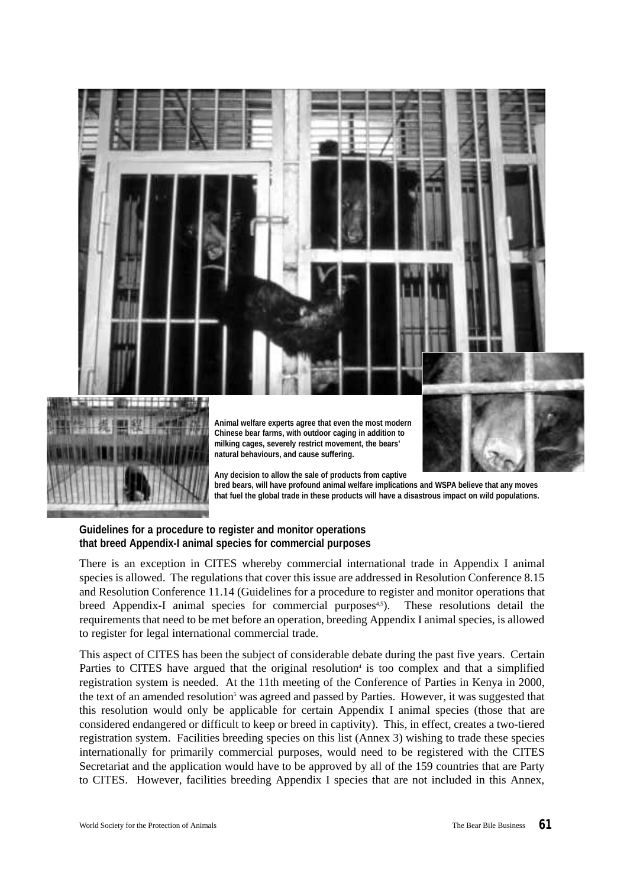

**bred bears, will have profound animal welfare implications and WSPA believe that any moves that fuel the global trade in these products will have a disastrous impact on wild populations.**

# **Guidelines for a procedure to register and monitor operations that breed Appendix-I animal species for commercial purposes**

There is an exception in CITES whereby commercial international trade in Appendix I animal species is allowed. The regulations that cover this issue are addressed in Resolution Conference 8.15 and Resolution Conference 11.14 (Guidelines for a procedure to register and monitor operations that breed Appendix-I animal species for commercial purposes $4.5$ ). These resolutions detail the requirements that need to be met before an operation, breeding Appendix I animal species, is allowed to register for legal international commercial trade.

This aspect of CITES has been the subject of considerable debate during the past five years. Certain Parties to CITES have argued that the original resolution<sup>4</sup> is too complex and that a simplified registration system is needed. At the 11th meeting of the Conference of Parties in Kenya in 2000, the text of an amended resolution<sup>5</sup> was agreed and passed by Parties. However, it was suggested that this resolution would only be applicable for certain Appendix I animal species (those that are considered endangered or difficult to keep or breed in captivity). This, in effect, creates a two-tiered registration system. Facilities breeding species on this list (Annex 3) wishing to trade these species internationally for primarily commercial purposes, would need to be registered with the CITES Secretariat and the application would have to be approved by all of the 159 countries that are Party to CITES. However, facilities breeding Appendix I species that are not included in this Annex,